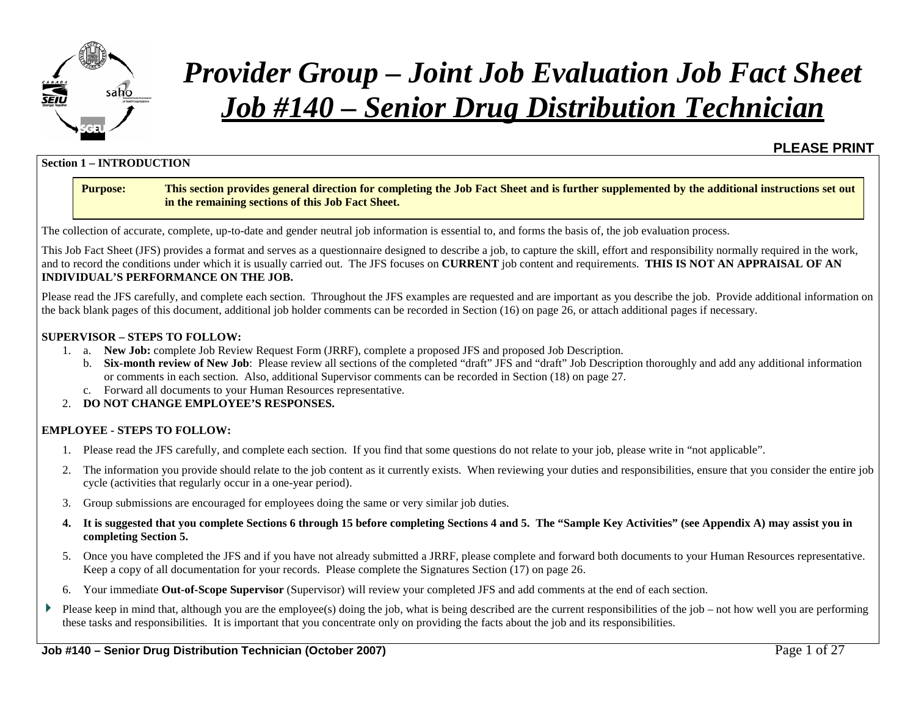

**Section 1 – INTRODUCTION**

# *Provider Group – Joint Job Evaluation Job Fact Sheet Job #140 – Senior Drug Distribution Technician*

#### **Purpose: This section provides general direction for completing the Job Fact Sheet and is further supplemented by the additional instructions set out in the remaining sections of this Job Fact Sheet.**

The collection of accurate, complete, up-to-date and gender neutral job information is essential to, and forms the basis of, the job evaluation process.

This Job Fact Sheet (JFS) provides a format and serves as a questionnaire designed to describe a job, to capture the skill, effort and responsibility normally required in the work, and to record the conditions under which it is usually carried out. The JFS focuses on **CURRENT** job content and requirements. **THIS IS NOT AN APPRAISAL OF AN INDIVIDUAL'S PERFORMANCE ON THE JOB.**

Please read the JFS carefully, and complete each section. Throughout the JFS examples are requested and are important as you describe the job. Provide additional information on the back blank pages of this document, additional job holder comments can be recorded in Section (16) on page 26, or attach additional pages if necessary.

#### **SUPERVISOR – STEPS TO FOLLOW:**

- 1. a. **New Job:** complete Job Review Request Form (JRRF), complete a proposed JFS and proposed Job Description.
	- b. **Six-month review of New Job**: Please review all sections of the completed "draft" JFS and "draft" Job Description thoroughly and add any additional information or comments in each section. Also, additional Supervisor comments can be recorded in Section (18) on page 27.
	- c. Forward all documents to your Human Resources representative.
- 2. **DO NOT CHANGE EMPLOYEE'S RESPONSES.**

#### **EMPLOYEE - STEPS TO FOLLOW:**

- 1. Please read the JFS carefully, and complete each section. If you find that some questions do not relate to your job, please write in "not applicable".
- 2. The information you provide should relate to the job content as it currently exists. When reviewing your duties and responsibilities, ensure that you consider the entire job cycle (activities that regularly occur in a one-year period).
- 3. Group submissions are encouraged for employees doing the same or very similar job duties.
- **4. It is suggested that you complete Sections 6 through 15 before completing Sections 4 and 5. The "Sample Key Activities" (see Appendix A) may assist you in completing Section 5.**
- 5. Once you have completed the JFS and if you have not already submitted a JRRF, please complete and forward both documents to your Human Resources representative. Keep a copy of all documentation for your records. Please complete the Signatures Section (17) on page 26.
- 6. Your immediate **Out-of-Scope Supervisor** (Supervisor) will review your completed JFS and add comments at the end of each section.
- Þ Please keep in mind that, although you are the employee(s) doing the job, what is being described are the current responsibilities of the job – not how well you are performing these tasks and responsibilities. It is important that you concentrate only on providing the facts about the job and its responsibilities.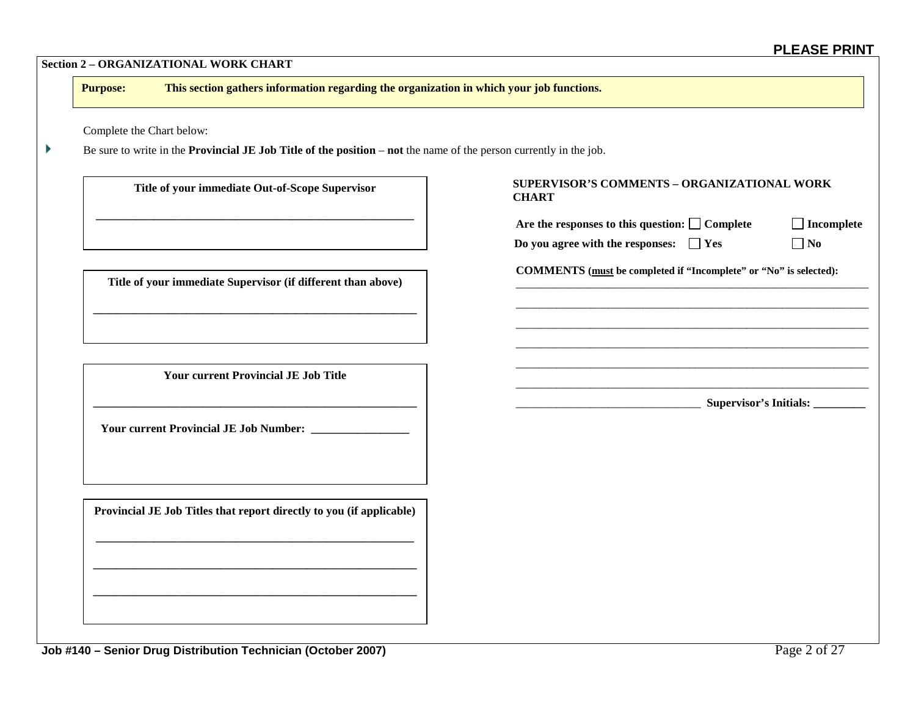| This section gathers information regarding the organization in which your job functions.<br><b>Purpose:</b>                      |                                                                   |                                  |
|----------------------------------------------------------------------------------------------------------------------------------|-------------------------------------------------------------------|----------------------------------|
| Complete the Chart below:                                                                                                        |                                                                   |                                  |
| Be sure to write in the <b>Provincial JE Job Title of the position</b> – <b>not</b> the name of the person currently in the job. |                                                                   |                                  |
| Title of your immediate Out-of-Scope Supervisor                                                                                  | SUPERVISOR'S COMMENTS - ORGANIZATIONAL WORK<br><b>CHART</b>       |                                  |
|                                                                                                                                  | Are the responses to this question: $\Box$ Complete               | $\Box$ Incomplete                |
|                                                                                                                                  | Do you agree with the responses: $\Box$ Yes                       | $\Box$ No                        |
| Title of your immediate Supervisor (if different than above)                                                                     | COMMENTS (must be completed if "Incomplete" or "No" is selected): |                                  |
|                                                                                                                                  |                                                                   |                                  |
|                                                                                                                                  |                                                                   |                                  |
|                                                                                                                                  |                                                                   |                                  |
| <b>Your current Provincial JE Job Title</b>                                                                                      |                                                                   |                                  |
|                                                                                                                                  |                                                                   | Supervisor's Initials: _________ |
|                                                                                                                                  |                                                                   |                                  |
|                                                                                                                                  |                                                                   |                                  |
|                                                                                                                                  |                                                                   |                                  |
|                                                                                                                                  |                                                                   |                                  |
| Provincial JE Job Titles that report directly to you (if applicable)                                                             |                                                                   |                                  |
|                                                                                                                                  |                                                                   |                                  |
|                                                                                                                                  |                                                                   |                                  |
|                                                                                                                                  |                                                                   |                                  |
|                                                                                                                                  |                                                                   |                                  |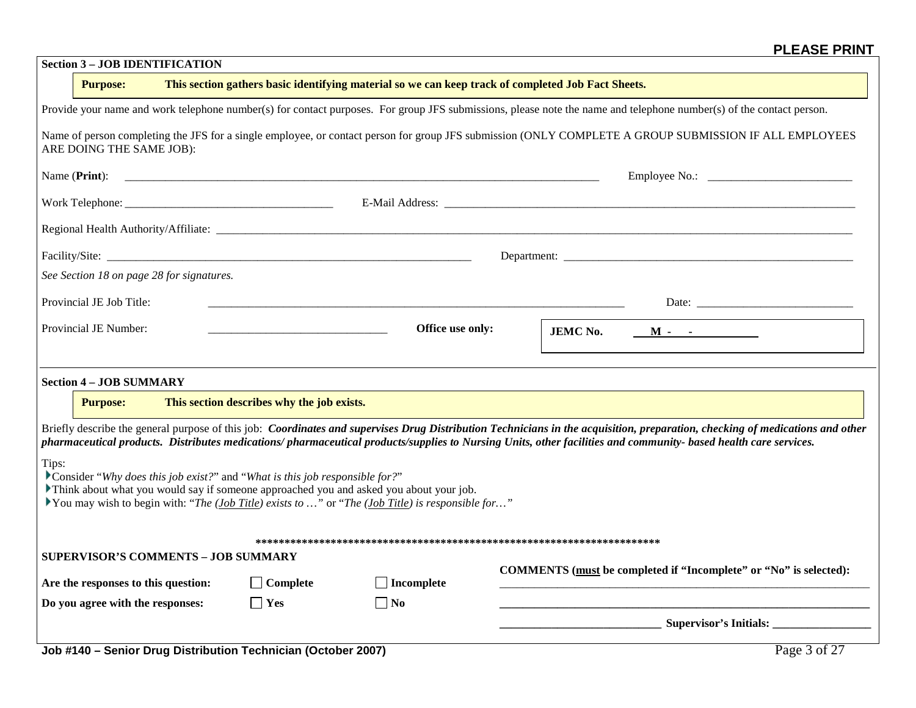| <b>Section 3 - JOB IDENTIFICATION</b>                                                                                                                                                      |                                            |                                                                                                    |                                                                                                                                                                               |  |  |  |
|--------------------------------------------------------------------------------------------------------------------------------------------------------------------------------------------|--------------------------------------------|----------------------------------------------------------------------------------------------------|-------------------------------------------------------------------------------------------------------------------------------------------------------------------------------|--|--|--|
| <b>Purpose:</b>                                                                                                                                                                            |                                            | This section gathers basic identifying material so we can keep track of completed Job Fact Sheets. |                                                                                                                                                                               |  |  |  |
| Provide your name and work telephone number(s) for contact purposes. For group JFS submissions, please note the name and telephone number(s) of the contact person.                        |                                            |                                                                                                    |                                                                                                                                                                               |  |  |  |
| ARE DOING THE SAME JOB):                                                                                                                                                                   |                                            |                                                                                                    | Name of person completing the JFS for a single employee, or contact person for group JFS submission (ONLY COMPLETE A GROUP SUBMISSION IF ALL EMPLOYEES                        |  |  |  |
| Name ( <b>Print</b> ):                                                                                                                                                                     |                                            |                                                                                                    |                                                                                                                                                                               |  |  |  |
|                                                                                                                                                                                            |                                            |                                                                                                    |                                                                                                                                                                               |  |  |  |
|                                                                                                                                                                                            |                                            |                                                                                                    |                                                                                                                                                                               |  |  |  |
|                                                                                                                                                                                            |                                            |                                                                                                    | Department:                                                                                                                                                                   |  |  |  |
| See Section 18 on page 28 for signatures.                                                                                                                                                  |                                            |                                                                                                    |                                                                                                                                                                               |  |  |  |
| Provincial JE Job Title:                                                                                                                                                                   |                                            |                                                                                                    |                                                                                                                                                                               |  |  |  |
| Provincial JE Number:                                                                                                                                                                      |                                            | Office use only:                                                                                   | <b>JEMC No.</b><br>$\mathbf{M}$ - $\mathbf{C}$                                                                                                                                |  |  |  |
|                                                                                                                                                                                            |                                            |                                                                                                    |                                                                                                                                                                               |  |  |  |
| <b>Section 4 - JOB SUMMARY</b>                                                                                                                                                             |                                            |                                                                                                    |                                                                                                                                                                               |  |  |  |
| <b>Purpose:</b>                                                                                                                                                                            | This section describes why the job exists. |                                                                                                    |                                                                                                                                                                               |  |  |  |
|                                                                                                                                                                                            |                                            |                                                                                                    | Briefly describe the general purpose of this job: Coordinates and supervises Drug Distribution Technicians in the acquisition, preparation, checking of medications and other |  |  |  |
| Tips:                                                                                                                                                                                      |                                            |                                                                                                    | pharmaceutical products. Distributes medications/pharmaceutical products/supplies to Nursing Units, other facilities and community- based health care services.               |  |  |  |
| Consider "Why does this job exist?" and "What is this job responsible for?"                                                                                                                |                                            |                                                                                                    |                                                                                                                                                                               |  |  |  |
| Think about what you would say if someone approached you and asked you about your job.<br>You may wish to begin with: "The (Job Title) exists to " or "The (Job Title) is responsible for" |                                            |                                                                                                    |                                                                                                                                                                               |  |  |  |
|                                                                                                                                                                                            |                                            |                                                                                                    |                                                                                                                                                                               |  |  |  |
| <b>SUPERVISOR'S COMMENTS - JOB SUMMARY</b>                                                                                                                                                 |                                            |                                                                                                    |                                                                                                                                                                               |  |  |  |
| Are the responses to this question:                                                                                                                                                        | $\Box$ Complete                            | $\Box$ Incomplete                                                                                  | COMMENTS (must be completed if "Incomplete" or "No" is selected):                                                                                                             |  |  |  |
| Do you agree with the responses:                                                                                                                                                           | $\Box$ Yes                                 | No                                                                                                 |                                                                                                                                                                               |  |  |  |
|                                                                                                                                                                                            |                                            |                                                                                                    |                                                                                                                                                                               |  |  |  |
| Job #140 - Senior Drug Distribution Technician (October 2007)                                                                                                                              |                                            |                                                                                                    | Page 3 of 27                                                                                                                                                                  |  |  |  |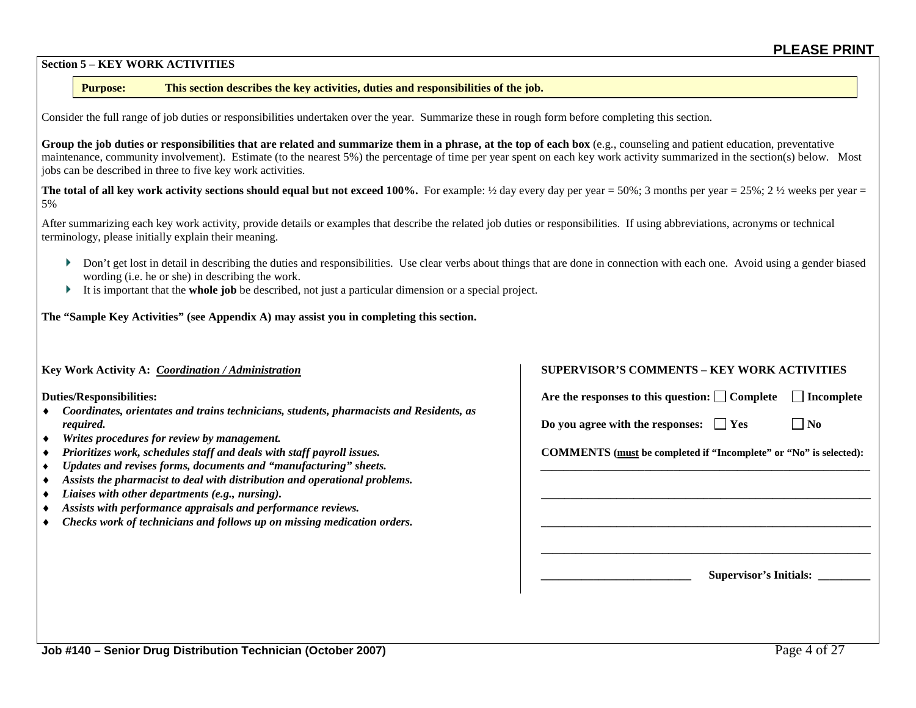#### **Section 5 – KEY WORK ACTIVITIES**

#### **Purpose: This section describes the key activities, duties and responsibilities of the job.**

Consider the full range of job duties or responsibilities undertaken over the year. Summarize these in rough form before completing this section.

Group the job duties or responsibilities that are related and summarize them in a phrase, at the top of each box (e.g., counseling and patient education, preventative maintenance, community involvement). Estimate (to the nearest 5%) the percentage of time per year spent on each key work activity summarized in the section(s) below. Most jobs can be described in three to five key work activities.

**The total of all key work activity sections should equal but not exceed 100%. For example:**  $\frac{1}{2}$  **day every day per year = 50%; 3 months per year = 25%; 2**  $\frac{1}{2}$  **weeks per year =** 5%

After summarizing each key work activity, provide details or examples that describe the related job duties or responsibilities. If using abbreviations, acronyms or technical terminology, please initially explain their meaning.

- Don't get lost in detail in describing the duties and responsibilities. Use clear verbs about things that are done in connection with each one. Avoid using a gender biased wording (i.e. he or she) in describing the work.
- It is important that the **whole job** be described, not just a particular dimension or a special project.

**The "Sample Key Activities" (see Appendix A) may assist you in completing this section.**

- ♦ *Coordinates, orientates and trains technicians, students, pharmacists and Residents, as required.* **If**  $\Box$  **If**  $\Box$  **If**  $\Box$  **If**  $\Box$  **If**  $\Box$  **If**  $\Box$  **If**  $\Box$  **If**  $\Box$  **If**  $\Box$  **If**  $\Box$  **If**  $\Box$  **If**  $\Box$  **If**  $\Box$  **If**  $\Box$  **If**  $\Box$  **If**  $\Box$  **If**  $\Box$  **If**  $\Box$  **If**  $\Box$  **If**  $\Box$  **If**  $\Box$  **If**  $\Box$  **If**  $\Box$  **If**  $\Box$  **If**  $\Box$  **If**  $\Box$  **I**
- ♦ *Writes procedures for review by management.*
- *Prioritizes work, schedules staff and deals with staff payroll issues.* **COMMENTS** (must be completed if "Incomplete" or "No" is selected):
- ♦ *Updates and revises forms, documents and "manufacturing" sheets. \_\_\_\_\_\_\_\_\_\_\_\_\_\_\_\_\_\_\_\_\_\_\_\_\_\_\_\_\_\_\_\_\_\_\_\_\_\_\_\_\_\_\_\_\_\_\_\_\_\_\_\_\_\_\_\_\_*
- ♦ *Assists the pharmacist to deal with distribution and operational problems.*
- ♦ *Liaises with other departments (e.g., nursing).* **\_\_\_\_\_\_\_\_\_\_\_\_\_\_\_\_\_\_\_\_\_\_\_\_\_\_\_\_\_\_\_\_\_\_\_\_\_\_\_\_\_\_\_\_\_\_\_\_\_\_\_\_\_\_\_\_\_**
- ♦ *Assists with performance appraisals and performance reviews.*
- ♦ *Checks work of technicians and follows up on missing medication orders.* **\_\_\_\_\_\_\_\_\_\_\_\_\_\_\_\_\_\_\_\_\_\_\_\_\_\_\_\_\_\_\_\_\_\_\_\_\_\_\_\_\_\_\_\_\_\_\_\_\_\_\_\_\_\_\_\_\_**

#### **Key Work Activity A:** *Coordination / Administration* **SUPERVISOR'S COMMENTS – KEY WORK ACTIVITIES**

**Duties/Responsibilities:** △ Incomplete and the sponses to this question: △ Complete and Incomplete

**\_\_\_\_\_\_\_\_\_\_\_\_\_\_\_\_\_\_\_\_\_\_\_\_\_\_\_\_\_\_\_\_\_\_\_\_\_\_\_\_\_\_\_\_\_\_\_\_\_\_\_\_\_\_\_\_\_**

**\_\_\_\_\_\_\_\_\_\_\_\_\_\_\_\_\_\_\_\_\_\_\_\_\_\_ Supervisor's Initials: \_\_\_\_\_\_\_\_\_**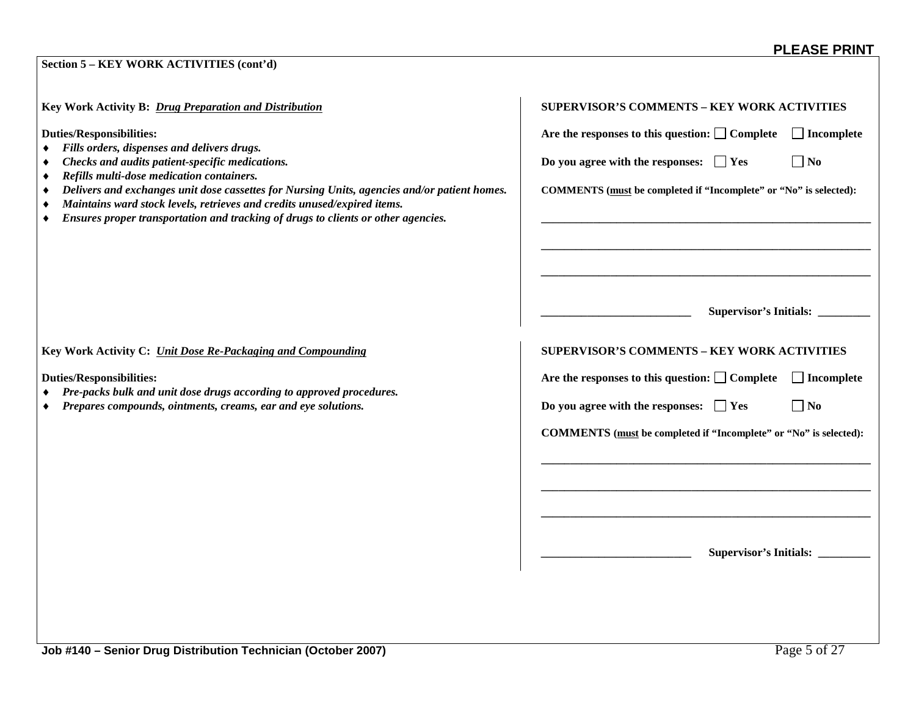#### **Section 5 – KEY WORK ACTIVITIES (cont'd)**

**Key Work Activity B:** *Drug Preparation and Distribution* 

**Duties/Responsibilities:** 

- ♦ *Fills orders, dispenses and delivers drugs.*
- $\bullet$  **Checks and audits patient-specific medications.**
- ♦ *Refills multi-dose medication containers.*
- $\bullet$  *Delivers and exchanges unit dose cassettes for Nursing Units, agencies and/or patient homes.*
- ♦ *Maintains ward stock levels, retrieves and credits unused/expired items.*
- ♦ *Ensures proper transportation and tracking of drugs to clients or other agencies.* **\_\_\_\_\_\_\_\_\_\_\_\_\_\_\_\_\_\_\_\_\_\_\_\_\_\_\_\_\_\_\_\_\_\_\_\_\_\_\_\_\_\_\_\_\_\_\_\_\_\_\_\_\_\_\_\_\_**

|                                             | Are the responses to this question: $\Box$ Complete               | $\Box$ Incomplete                |
|---------------------------------------------|-------------------------------------------------------------------|----------------------------------|
| Do you agree with the responses: $\Box$ Yes |                                                                   | $\Box$ No                        |
|                                             | COMMENTS (must be completed if "Incomplete" or "No" is selected): |                                  |
|                                             |                                                                   |                                  |
|                                             |                                                                   |                                  |
|                                             |                                                                   |                                  |
|                                             |                                                                   |                                  |
|                                             | <b>SUPERVISOR'S COMMENTS - KEY WORK ACTIVITIES</b>                |                                  |
|                                             | Are the responses to this question: $\Box$ Complete               | $\Box$ Incomplete                |
| Do you agree with the responses: $\Box$ Yes |                                                                   | ] No                             |
|                                             | COMMENTS (must be completed if "Incomplete" or "No" is selected): |                                  |
|                                             |                                                                   |                                  |
|                                             |                                                                   |                                  |
|                                             |                                                                   |                                  |
|                                             |                                                                   |                                  |
|                                             |                                                                   | Supervisor's Initials: _________ |

Key Work Activity C: *<u>Unit Dose Re-Packaging and Compounding</u>* 

**Duties/Responsibilities:** 

- ♦ *Pre-packs bulk and unit dose drugs according to approved procedures.*
- $\bullet$  **Prepares compounds, ointments, creams, ear and eye solutions.**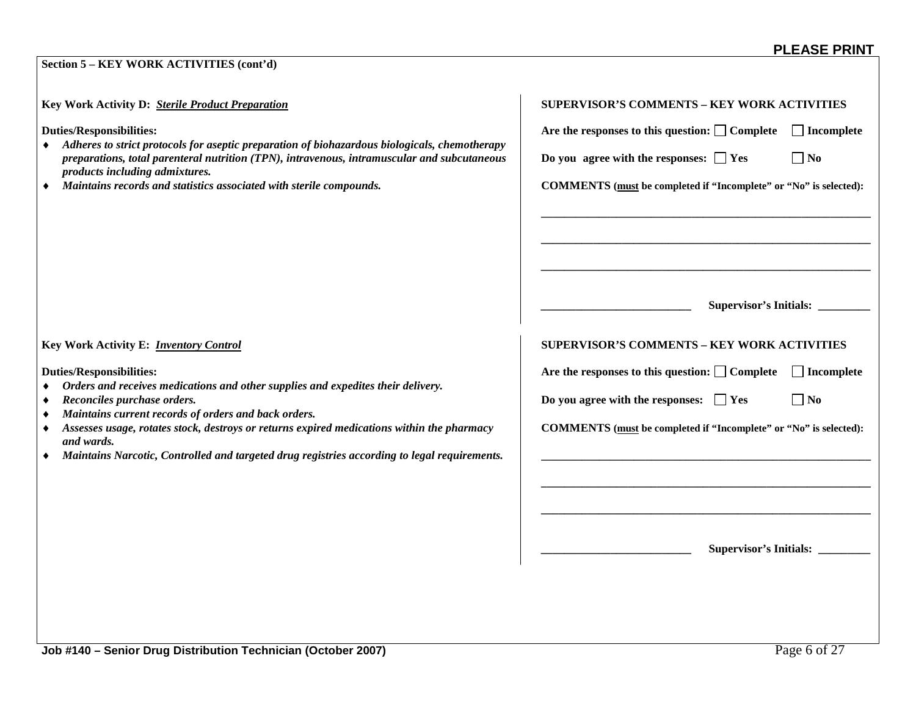#### **Section 5 – KEY WORK ACTIVITIES (cont'd)**

**Key Work Activity D:** *<u>Sterile Product Preparation</u>* 

**Duties/Responsibilities:** 

- ♦ *Adheres to strict protocols for aseptic preparation of biohazardous biologicals, chemotherapy preparations, total parenteral nutrition (TPN), intravenous, intramuscular and subcutaneous products including admixtures.*
- $\bullet$  *Maintains records and statistics associated with sterile compounds.*

| <b>SUPERVISOR'S COMMENTS - KEY WORK ACTIVITIES</b> |                                                                   |                                  |
|----------------------------------------------------|-------------------------------------------------------------------|----------------------------------|
|                                                    | Are the responses to this question: $\Box$ Complete               | $\Box$ Incomplete                |
|                                                    | Do you agree with the responses: $\Box$ Yes                       | $\exists$ No                     |
|                                                    | COMMENTS (must be completed if "Incomplete" or "No" is selected): |                                  |
|                                                    |                                                                   |                                  |
|                                                    |                                                                   | Supervisor's Initials: _________ |
|                                                    | <b>SUPERVISOR'S COMMENTS - KEY WORK ACTIVITIES</b>                |                                  |
|                                                    | Are the responses to this question: $\Box$ Complete               | $\Box$ Incomplete                |
|                                                    | Do you agree with the responses: $\Box$ Yes                       | $\exists$ No                     |
|                                                    | COMMENTS (must be completed if "Incomplete" or "No" is selected): |                                  |
|                                                    |                                                                   |                                  |
|                                                    |                                                                   |                                  |
|                                                    |                                                                   |                                  |
|                                                    |                                                                   | Supervisor's Initials: _________ |
|                                                    |                                                                   |                                  |

**Key Work Activity E:** *Inventory Control* 

**Duties/Responsibilities:** 

- ♦ *Orders and receives medications and other supplies and expedites their delivery.*
- $\triangle$  **Reconciles purchase orders.**
- ♦ *Maintains current records of orders and back orders.*
- $\bullet$  **Assesses usage, rotates stock, destroys or returns expired medications within the pharmacy** *and wards.*
- ♦ *Maintains Narcotic, Controlled and targeted drug registries according to legal requirements.* **\_\_\_\_\_\_\_\_\_\_\_\_\_\_\_\_\_\_\_\_\_\_\_\_\_\_\_\_\_\_\_\_\_\_\_\_\_\_\_\_\_\_\_\_\_\_\_\_\_\_\_\_\_\_\_\_\_**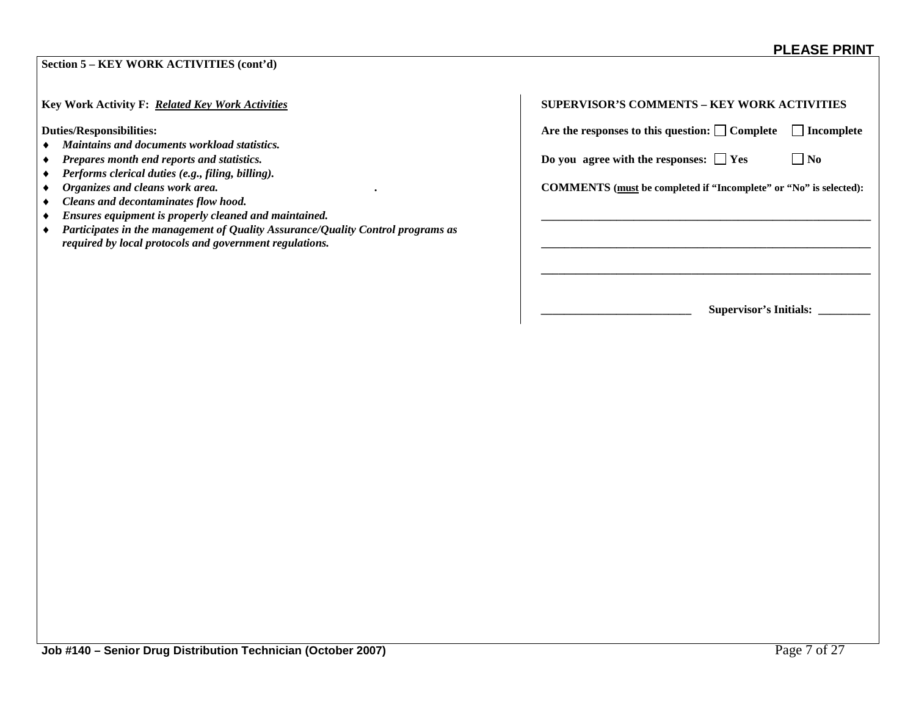| Section 5 - KEY WORK ACTIVITIES (cont'd)                                                                                                   |                                                                          |
|--------------------------------------------------------------------------------------------------------------------------------------------|--------------------------------------------------------------------------|
| Key Work Activity F: Related Key Work Activities                                                                                           | <b>SUPERVISOR'S COMMENTS - KEY WORK ACTIVITIES</b>                       |
| <b>Duties/Responsibilities:</b>                                                                                                            | Are the responses to this question: $\Box$ Complete<br>Incomplete        |
| Maintains and documents workload statistics.                                                                                               |                                                                          |
| Prepares month end reports and statistics.                                                                                                 | Do you agree with the responses: $\Box$ Yes<br>$\Box$ No                 |
| Performs clerical duties (e.g., filing, billing).                                                                                          |                                                                          |
| Organizes and cleans work area.                                                                                                            | <b>COMMENTS</b> (must be completed if "Incomplete" or "No" is selected): |
| Cleans and decontaminates flow hood.                                                                                                       |                                                                          |
| Ensures equipment is properly cleaned and maintained.                                                                                      |                                                                          |
| Participates in the management of Quality Assurance/Quality Control programs as<br>required by local protocols and government regulations. |                                                                          |
|                                                                                                                                            |                                                                          |
|                                                                                                                                            |                                                                          |
|                                                                                                                                            |                                                                          |
|                                                                                                                                            | Supervisor's Initials:                                                   |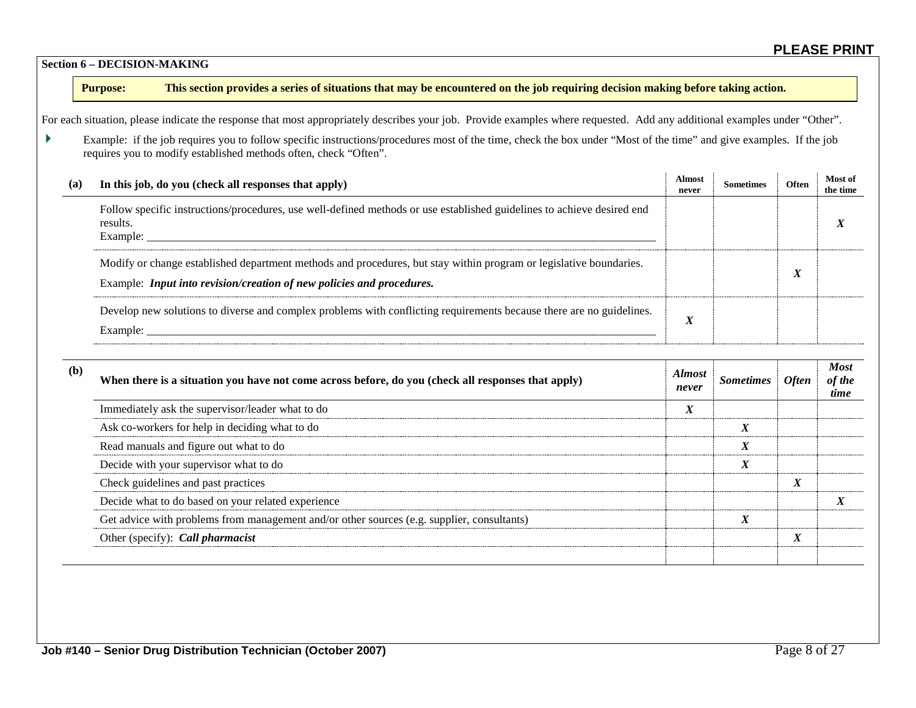#### **Section 6 – DECISION-MAKING**

#### **Purpose: This section provides a series of situations that may be encountered on the job requiring decision making before taking action.**

For each situation, please indicate the response that most appropriately describes your job. Provide examples where requested. Add any additional examples under "Other".

 $\blacktriangleright$ Example: if the job requires you to follow specific instructions/procedures most of the time, check the box under "Most of the time" and give examples. If the job requires you to modify established methods often, check "Often".

| (a) | In this job, do you (check all responses that apply)                                                                                                                                        | <b>Almost</b><br>never | <b>Sometimes</b> | Often                     | <b>Most of</b><br>the time |
|-----|---------------------------------------------------------------------------------------------------------------------------------------------------------------------------------------------|------------------------|------------------|---------------------------|----------------------------|
|     | Follow specific instructions/procedures, use well-defined methods or use established guidelines to achieve desired end<br>results.<br>Example:                                              |                        |                  |                           |                            |
|     | Modify or change established department methods and procedures, but stay within program or legislative boundaries.<br>Example: Input into revision/creation of new policies and procedures. |                        |                  | $\mathbf{v}$<br>$\Lambda$ |                            |
|     | Develop new solutions to diverse and complex problems with conflicting requirements because there are no guidelines.<br>Example:                                                            | T<br>A                 |                  |                           |                            |

| (b) | When there is a situation you have not come across before, do you (check all responses that apply) | <b>Almost</b><br>never   | <i>Sometimes</i>              | <b>Often</b>              | <b>Most</b><br>of the<br>time |
|-----|----------------------------------------------------------------------------------------------------|--------------------------|-------------------------------|---------------------------|-------------------------------|
|     | Immediately ask the supervisor/leader what to do                                                   | $\mathbf v$<br>$\Lambda$ |                               |                           |                               |
|     | Ask co-workers for help in deciding what to do                                                     |                          | $\mathbf v$<br>A              |                           |                               |
|     | Read manuals and figure out what to do                                                             |                          | $\mathbf{v}$<br>$\Lambda$     |                           |                               |
|     | Decide with your supervisor what to do                                                             |                          | $\mathbf v$<br>$\bm{\lambda}$ |                           |                               |
|     | Check guidelines and past practices                                                                |                          |                               | $\mathbf{v}$<br>л         |                               |
|     | Decide what to do based on your related experience                                                 |                          |                               |                           |                               |
|     | Get advice with problems from management and/or other sources (e.g. supplier, consultants)         |                          | $\mathbf v$<br>$\lambda$      |                           |                               |
|     | Other (specify): Call pharmacist                                                                   |                          |                               | $\mathbf{v}$<br>$\Lambda$ |                               |
|     |                                                                                                    |                          |                               |                           |                               |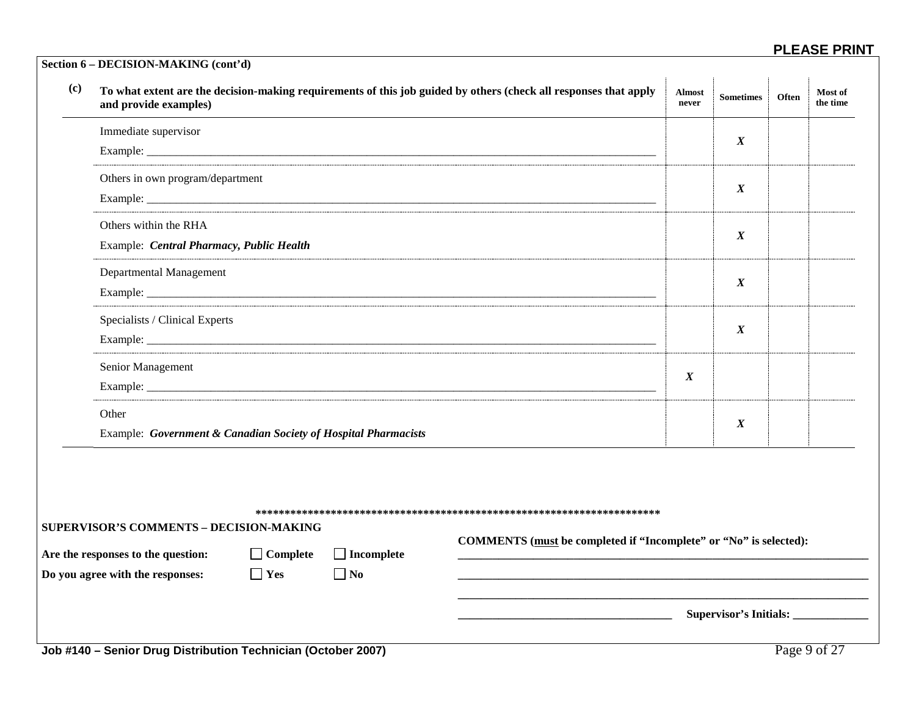| (c) | and provide examples)                                                                |                 |                   | To what extent are the decision-making requirements of this job guided by others (check all responses that apply | <b>Almost</b><br>never | <b>Sometimes</b> | Often | Most of<br>the time |
|-----|--------------------------------------------------------------------------------------|-----------------|-------------------|------------------------------------------------------------------------------------------------------------------|------------------------|------------------|-------|---------------------|
|     | Immediate supervisor                                                                 |                 |                   |                                                                                                                  |                        | $\boldsymbol{X}$ |       |                     |
|     |                                                                                      |                 |                   |                                                                                                                  |                        |                  |       |                     |
|     | Others in own program/department                                                     |                 |                   |                                                                                                                  |                        | $\boldsymbol{X}$ |       |                     |
|     |                                                                                      |                 |                   |                                                                                                                  |                        |                  |       |                     |
|     | Others within the RHA                                                                |                 |                   |                                                                                                                  |                        | $\boldsymbol{X}$ |       |                     |
|     | Example: Central Pharmacy, Public Health                                             |                 |                   |                                                                                                                  |                        |                  |       |                     |
|     | Departmental Management                                                              |                 |                   |                                                                                                                  |                        | $\boldsymbol{X}$ |       |                     |
|     |                                                                                      |                 |                   |                                                                                                                  |                        |                  |       |                     |
|     | Specialists / Clinical Experts                                                       |                 |                   |                                                                                                                  |                        |                  |       |                     |
|     |                                                                                      |                 |                   |                                                                                                                  |                        |                  |       |                     |
|     | Senior Management                                                                    |                 |                   | $\boldsymbol{X}$                                                                                                 |                        |                  |       |                     |
|     |                                                                                      |                 |                   |                                                                                                                  |                        |                  |       |                     |
|     | Other                                                                                |                 | $\boldsymbol{X}$  |                                                                                                                  |                        |                  |       |                     |
|     | Example: Government & Canadian Society of Hospital Pharmacists                       |                 |                   |                                                                                                                  |                        |                  |       |                     |
|     | <b>SUPERVISOR'S COMMENTS - DECISION-MAKING</b><br>Are the responses to the question: | $\Box$ Complete | $\Box$ Incomplete | COMMENTS (must be completed if "Incomplete" or "No" is selected):                                                |                        |                  |       |                     |
|     | Do you agree with the responses:                                                     | $\Box$ Yes      | $\Box$ No         |                                                                                                                  |                        |                  |       |                     |
|     |                                                                                      |                 |                   |                                                                                                                  |                        |                  |       |                     |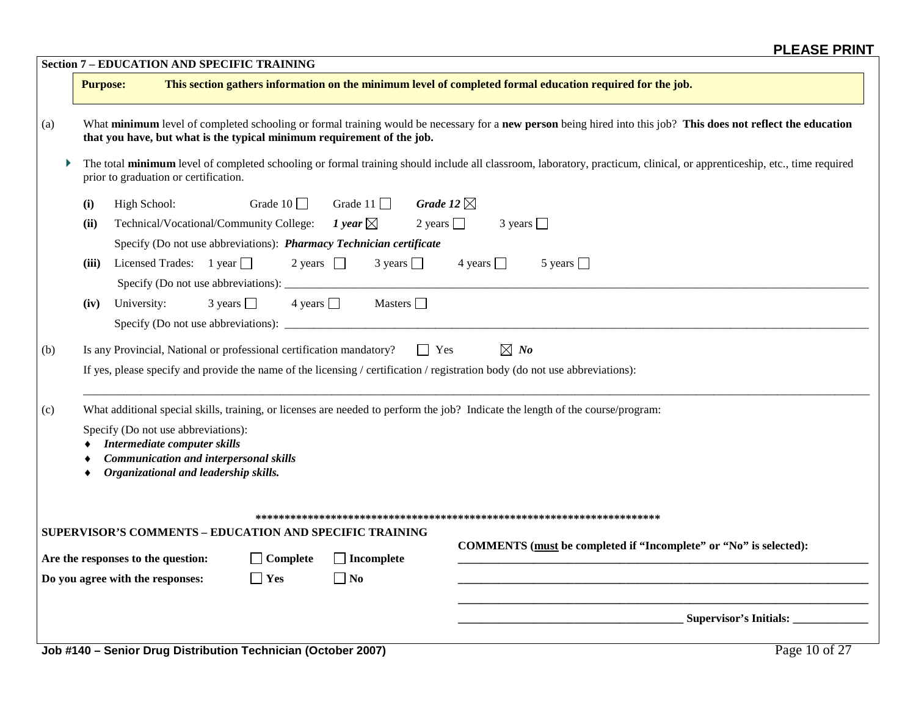|     |                                                                                                                                                                                                                                                                                                  |                                    | <b>Section 7 - EDUCATION AND SPECIFIC TRAINING</b>                   |                    |                                                                                                                              |  |  |  |  |  |
|-----|--------------------------------------------------------------------------------------------------------------------------------------------------------------------------------------------------------------------------------------------------------------------------------------------------|------------------------------------|----------------------------------------------------------------------|--------------------|------------------------------------------------------------------------------------------------------------------------------|--|--|--|--|--|
|     | <b>Purpose:</b>                                                                                                                                                                                                                                                                                  |                                    |                                                                      |                    | This section gathers information on the minimum level of completed formal education required for the job.                    |  |  |  |  |  |
| (a) | What minimum level of completed schooling or formal training would be necessary for a new person being hired into this job? This does not reflect the education<br>that you have, but what is the typical minimum requirement of the job.                                                        |                                    |                                                                      |                    |                                                                                                                              |  |  |  |  |  |
|     | The total minimum level of completed schooling or formal training should include all classroom, laboratory, practicum, clinical, or apprenticeship, etc., time required<br>prior to graduation or certification.                                                                                 |                                    |                                                                      |                    |                                                                                                                              |  |  |  |  |  |
|     | (i)                                                                                                                                                                                                                                                                                              | High School:                       | Grade $10$                                                           | Grade $11$         | Grade 12 $\boxtimes$                                                                                                         |  |  |  |  |  |
|     | (ii)                                                                                                                                                                                                                                                                                             |                                    | Technical/Vocational/Community College:                              | 1 year $\boxtimes$ | 2 years $\Box$<br>$3 \text{ years}$                                                                                          |  |  |  |  |  |
|     |                                                                                                                                                                                                                                                                                                  |                                    | Specify (Do not use abbreviations): Pharmacy Technician certificate  |                    |                                                                                                                              |  |  |  |  |  |
|     | (iii)                                                                                                                                                                                                                                                                                            | Licensed Trades: $1$ year $\Box$   | 2 years $\Box$                                                       | $3 \text{ years}$  | 4 years $\Box$<br>5 years $\Box$                                                                                             |  |  |  |  |  |
|     | (iv)                                                                                                                                                                                                                                                                                             | University:                        | $3 \text{ years}$                                                    | 4 years $\Box$     | Masters $\Box$                                                                                                               |  |  |  |  |  |
| (b) |                                                                                                                                                                                                                                                                                                  |                                    | Is any Provincial, National or professional certification mandatory? |                    | $\boxtimes$ No<br>$\Box$ Yes                                                                                                 |  |  |  |  |  |
|     |                                                                                                                                                                                                                                                                                                  |                                    |                                                                      |                    | If yes, please specify and provide the name of the licensing / certification / registration body (do not use abbreviations): |  |  |  |  |  |
| (c) | What additional special skills, training, or licenses are needed to perform the job? Indicate the length of the course/program:<br>Specify (Do not use abbreviations):<br>Intermediate computer skills<br><b>Communication and interpersonal skills</b><br>Organizational and leadership skills. |                                    |                                                                      |                    |                                                                                                                              |  |  |  |  |  |
|     |                                                                                                                                                                                                                                                                                                  |                                    | SUPERVISOR'S COMMENTS - EDUCATION AND SPECIFIC TRAINING              |                    | COMMENTS (must be completed if "Incomplete" or "No" is selected):                                                            |  |  |  |  |  |
|     |                                                                                                                                                                                                                                                                                                  | Are the responses to the question: | $\Box$ Complete                                                      | $\Box$ Incomplete  |                                                                                                                              |  |  |  |  |  |
|     |                                                                                                                                                                                                                                                                                                  | Do you agree with the responses:   | $\Box$ Yes                                                           | $\Box$ No          |                                                                                                                              |  |  |  |  |  |
|     |                                                                                                                                                                                                                                                                                                  |                                    |                                                                      |                    | Supervisor's Initials:                                                                                                       |  |  |  |  |  |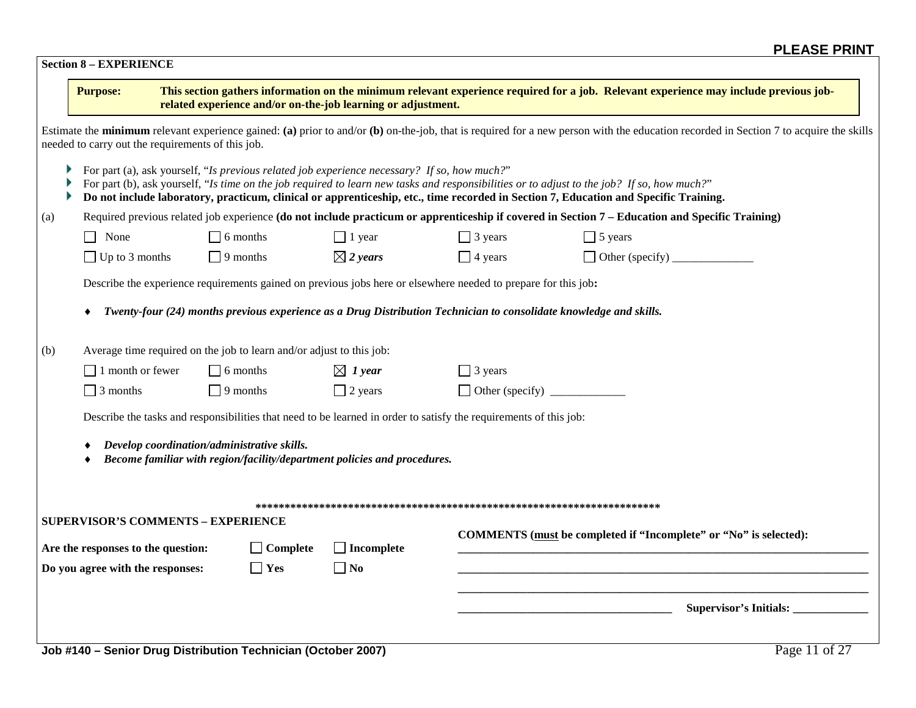| <b>Purpose:</b>                    |                                                                      |                 | related experience and/or on-the-job learning or adjustment.                                                       |                | This section gathers information on the minimum relevant experience required for a job. Relevant experience may include previous job-                                                                                                                                               |
|------------------------------------|----------------------------------------------------------------------|-----------------|--------------------------------------------------------------------------------------------------------------------|----------------|-------------------------------------------------------------------------------------------------------------------------------------------------------------------------------------------------------------------------------------------------------------------------------------|
|                                    | needed to carry out the requirements of this job.                    |                 |                                                                                                                    |                | Estimate the minimum relevant experience gained: (a) prior to and/or (b) on-the-job, that is required for a new person with the education recorded in Section 7 to acquire the skills                                                                                               |
|                                    |                                                                      |                 | For part (a), ask yourself, "Is previous related job experience necessary? If so, how much?"                       |                | For part (b), ask yourself, "Is time on the job required to learn new tasks and responsibilities or to adjust to the job? If so, how much?"<br>Do not include laboratory, practicum, clinical or apprenticeship, etc., time recorded in Section 7, Education and Specific Training. |
|                                    |                                                                      |                 |                                                                                                                    |                | Required previous related job experience (do not include practicum or apprenticeship if covered in Section 7 – Education and Specific Training)                                                                                                                                     |
| None                               |                                                                      | $\Box$ 6 months | $\Box$ 1 year                                                                                                      | $\Box$ 3 years | $\Box$ 5 years                                                                                                                                                                                                                                                                      |
| $\Box$ Up to 3 months              |                                                                      | $\Box$ 9 months | $\boxtimes$ 2 years                                                                                                | $\Box$ 4 years |                                                                                                                                                                                                                                                                                     |
|                                    |                                                                      |                 | Describe the experience requirements gained on previous jobs here or elsewhere needed to prepare for this job:     |                |                                                                                                                                                                                                                                                                                     |
|                                    |                                                                      |                 | Twenty-four (24) months previous experience as a Drug Distribution Technician to consolidate knowledge and skills. |                |                                                                                                                                                                                                                                                                                     |
|                                    | Average time required on the job to learn and/or adjust to this job: |                 |                                                                                                                    |                |                                                                                                                                                                                                                                                                                     |
| $\Box$ 1 month or fewer            |                                                                      | $\Box$ 6 months | $\boxtimes$ 1 year                                                                                                 | $\Box$ 3 years |                                                                                                                                                                                                                                                                                     |
| $\Box$ 3 months                    |                                                                      | $\Box$ 9 months | $\Box$ 2 years                                                                                                     |                |                                                                                                                                                                                                                                                                                     |
|                                    |                                                                      |                 | Describe the tasks and responsibilities that need to be learned in order to satisfy the requirements of this job:  |                |                                                                                                                                                                                                                                                                                     |
|                                    |                                                                      |                 |                                                                                                                    |                |                                                                                                                                                                                                                                                                                     |
|                                    | Develop coordination/administrative skills.                          |                 |                                                                                                                    |                |                                                                                                                                                                                                                                                                                     |
|                                    |                                                                      |                 | Become familiar with region/facility/department policies and procedures.                                           |                |                                                                                                                                                                                                                                                                                     |
|                                    |                                                                      |                 |                                                                                                                    |                |                                                                                                                                                                                                                                                                                     |
| Are the responses to the question: | <b>SUPERVISOR'S COMMENTS - EXPERIENCE</b>                            | $\Box$ Complete | $\Box$ Incomplete                                                                                                  |                | COMMENTS (must be completed if "Incomplete" or "No" is selected):                                                                                                                                                                                                                   |
| Do you agree with the responses:   |                                                                      | $\Box$ Yes      | $\Box$ No                                                                                                          |                |                                                                                                                                                                                                                                                                                     |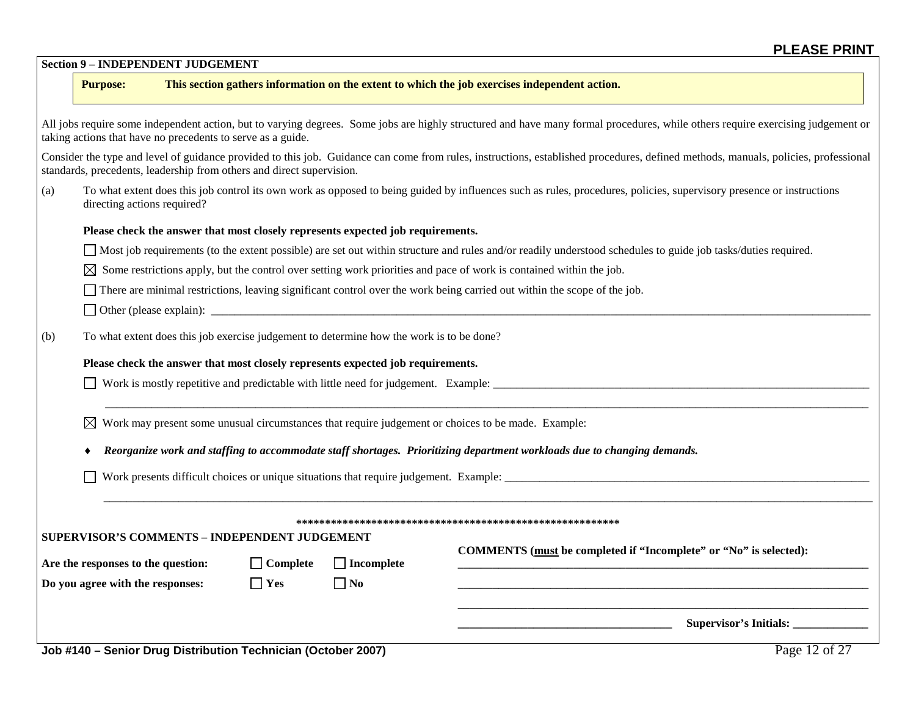|  | <b>Section 9 – INDEPENDENT JUDGEMENT</b> |  |
|--|------------------------------------------|--|
|--|------------------------------------------|--|

#### **Purpose: This section gathers information on the extent to which the job exercises independent action.**

|                                                             | All jobs require some independent action, but to varying degrees. Some jobs are highly structured and have many formal procedures, while others require exercising judgement or |  |
|-------------------------------------------------------------|---------------------------------------------------------------------------------------------------------------------------------------------------------------------------------|--|
| taking actions that have no precedents to serve as a guide. |                                                                                                                                                                                 |  |

Consider the type and level of guidance provided to this job. Guidance can come from rules, instructions, established procedures, defined methods, manuals, policies, professional standards, precedents, leadership from others and direct supervision.

(a) To what extent does this job control its own work as opposed to being guided by influences such as rules, procedures, policies, supervisory presence or instructions directing actions required?

#### **Please check the answer that most closely represents expected job requirements.**

- Most job requirements (to the extent possible) are set out within structure and rules and/or readily understood schedules to guide job tasks/duties required.
- $\boxtimes$  Some restrictions apply, but the control over setting work priorities and pace of work is contained within the job.
- $\Box$  There are minimal restrictions, leaving significant control over the work being carried out within the scope of the job.
- $\Box$  Other (please explain):  $\Box$
- (b) To what extent does this job exercise judgement to determine how the work is to be done?

#### **Please check the answer that most closely represents expected job requirements.**

Work is mostly repetitive and predictable with little need for judgement. Example:

 $\boxtimes$  Work may present some unusual circumstances that require judgement or choices to be made. Example:

♦ *Reorganize work and staffing to accommodate staff shortages. Prioritizing department workloads due to changing demands.*

Work presents difficult choices or unique situations that require judgement. Example: \_\_\_\_\_\_\_\_\_\_\_\_\_\_\_\_\_\_\_\_\_\_\_\_\_\_\_\_\_\_\_\_\_\_\_\_\_\_\_\_\_\_\_\_\_\_\_\_\_\_\_\_\_\_\_\_\_\_\_\_\_\_\_

#### **\*\*\*\*\*\*\*\*\*\*\*\*\*\*\*\*\*\*\*\*\*\*\*\*\*\*\*\*\*\*\*\*\*\*\*\*\*\*\*\*\*\*\*\*\*\*\*\*\*\*\*\*\*\*\*\***

 $\sim$  . The contribution of the contribution of the contribution of the contribution of the contribution of the contribution of the contribution of the contribution of the contribution of the contribution of the contributi

 $\mathcal{L} = \{ \mathcal{L} = \{ \mathcal{L} = \{ \mathcal{L} = \{ \mathcal{L} = \{ \mathcal{L} = \{ \mathcal{L} = \{ \mathcal{L} = \{ \mathcal{L} = \{ \mathcal{L} = \{ \mathcal{L} = \{ \mathcal{L} = \{ \mathcal{L} = \{ \mathcal{L} = \{ \mathcal{L} = \{ \mathcal{L} = \{ \mathcal{L} = \{ \mathcal{L} = \{ \mathcal{L} = \{ \mathcal{L} = \{ \mathcal{L} = \{ \mathcal{L} = \{ \mathcal{L} = \{ \mathcal{L} = \{ \mathcal{$ 

#### **SUPERVISOR'S COMMENTS – INDEPENDENT JUDGEMENT**

| Are the responses to the question: |  |  |  |
|------------------------------------|--|--|--|
|------------------------------------|--|--|--|

 $\overline{a}$ 

| Are the responses to the question. | $\Box$ compient | - 1. <b>1. 11</b> U |
|------------------------------------|-----------------|---------------------|
| Do you agree with the responses:   | $\Box$ Yes      | $\Box$ No           |

**COMMENTS (must be completed if "Incomplete" or "No" is selected):**  $\Box$  Complete  $\Box$  Incomplete  $\Box$  **Incomplete** 

**\_\_\_\_\_\_\_\_\_\_\_\_\_\_\_\_\_\_\_\_\_\_\_\_\_\_\_\_\_\_\_\_\_\_\_\_\_\_\_\_\_\_\_\_\_\_\_\_\_\_\_\_\_\_\_\_\_\_\_\_\_\_\_\_\_\_\_\_\_\_\_**

**\_\_\_\_\_\_\_\_\_\_\_\_\_\_\_\_\_\_\_\_\_\_\_\_\_\_\_\_\_\_\_\_\_\_\_\_\_ Supervisor's Initials: \_\_\_\_\_\_\_\_\_\_\_\_\_**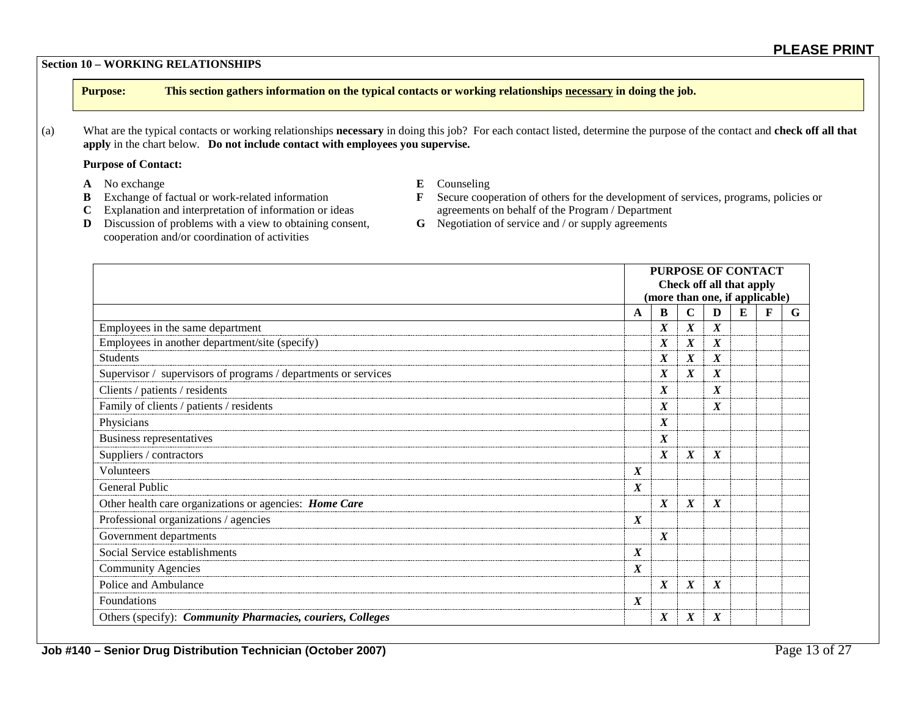#### **Section 10 – WORKING RELATIONSHIPS**

**Purpose: This section gathers information on the typical contacts or working relationships necessary in doing the job.**

(a) What are the typical contacts or working relationships **necessary** in doing this job? For each contact listed, determine the purpose of the contact and **check off all that apply** in the chart below. **Do not include contact with employees you supervise.**

#### **Purpose of Contact:**

- 
- **A** No exchange **E** Counseling<br> **B** Exchange of factual or work-related information **E** Secure coop
	-
- 
- **F** Secure cooperation of others for the development of services, programs, policies or agreements on behalf of the Program / Department **C** Explanation and interpretation of information or ideas agreements on behalf of the Program / Department **D** Discussion of problems with a view to obtaining consent. **G** Negotiation of service and / or supply agreements
- **D** Discussion of problems with a view to obtaining consent, cooperation and/or coordination of activities
- 

|                                                                |                  | <b>PURPOSE OF CONTACT</b><br>Check off all that apply<br>(more than one, if applicable) |                  |                  |   |   |   |
|----------------------------------------------------------------|------------------|-----------------------------------------------------------------------------------------|------------------|------------------|---|---|---|
|                                                                | A                | B                                                                                       | $\mathbf C$      | $\mathbf{D}$     | E | F | G |
| Employees in the same department                               |                  | X                                                                                       | $\boldsymbol{X}$ | X                |   |   |   |
| Employees in another department/site (specify)                 |                  | X                                                                                       | $\boldsymbol{X}$ | $\boldsymbol{X}$ |   |   |   |
| <b>Students</b>                                                |                  | X                                                                                       | $\boldsymbol{X}$ | $\boldsymbol{X}$ |   |   |   |
| Supervisor / supervisors of programs / departments or services |                  | $\boldsymbol{X}$                                                                        | $\boldsymbol{X}$ | $\boldsymbol{X}$ |   |   |   |
| Clients / patients / residents                                 |                  | X                                                                                       |                  | $\boldsymbol{X}$ |   |   |   |
| Family of clients / patients / residents<br>X                  |                  |                                                                                         |                  | $\boldsymbol{X}$ |   |   |   |
| Physicians                                                     |                  | $\boldsymbol{X}$                                                                        |                  |                  |   |   |   |
| Business representatives                                       |                  | $\boldsymbol{X}$                                                                        |                  |                  |   |   |   |
| Suppliers / contractors                                        |                  | X                                                                                       | $\boldsymbol{X}$ | $\boldsymbol{X}$ |   |   |   |
| Volunteers                                                     | $\boldsymbol{X}$ |                                                                                         |                  |                  |   |   |   |
| General Public                                                 | $\boldsymbol{X}$ |                                                                                         |                  |                  |   |   |   |
| Other health care organizations or agencies: Home Care         |                  | $\boldsymbol{X}$                                                                        | $\boldsymbol{X}$ | $\boldsymbol{X}$ |   |   |   |
| Professional organizations / agencies                          | $\boldsymbol{X}$ |                                                                                         |                  |                  |   |   |   |
| Government departments                                         |                  | $\boldsymbol{X}$                                                                        |                  |                  |   |   |   |
| Social Service establishments                                  | $\boldsymbol{X}$ |                                                                                         |                  |                  |   |   |   |
| <b>Community Agencies</b>                                      | $\boldsymbol{X}$ |                                                                                         |                  |                  |   |   |   |
| Police and Ambulance                                           |                  | $\boldsymbol{X}$                                                                        | $\boldsymbol{X}$ | $\boldsymbol{X}$ |   |   |   |
| Foundations                                                    | $\boldsymbol{X}$ |                                                                                         |                  |                  |   |   |   |
| Others (specify): Community Pharmacies, couriers, Colleges     |                  | X                                                                                       | $\boldsymbol{X}$ | X                |   |   |   |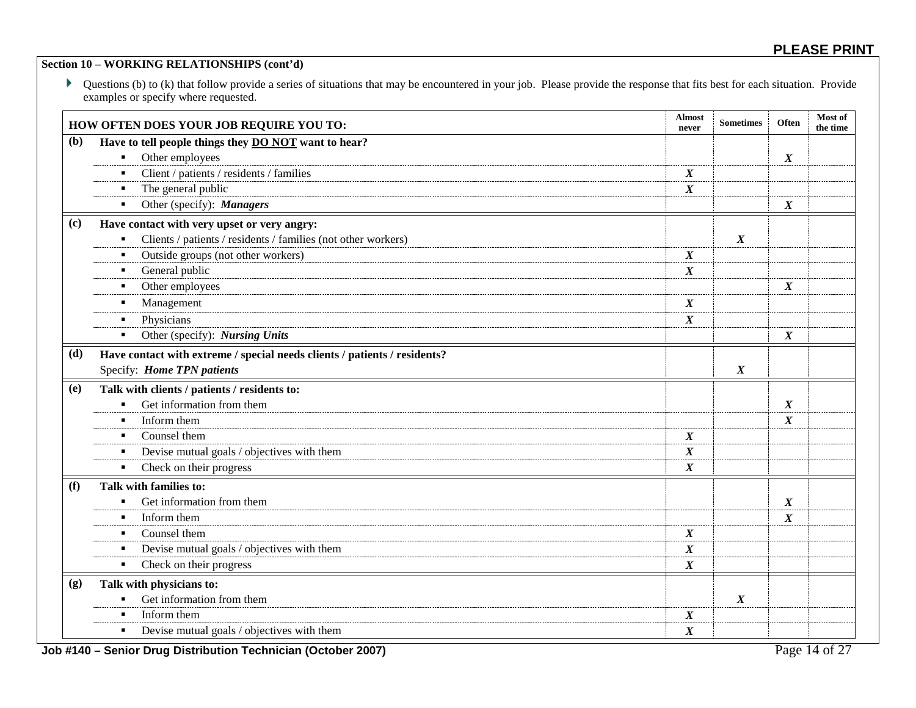#### **Section 10 – WORKING RELATIONSHIPS (cont'd)**

▶ Questions (b) to (k) that follow provide a series of situations that may be encountered in your job. Please provide the response that fits best for each situation. Provide examples or specify where requested.

|     | HOW OFTEN DOES YOUR JOB REQUIRE YOU TO:                                   | <b>Almost</b><br>never | <b>Sometimes</b> | Often            | Most of<br>the time |
|-----|---------------------------------------------------------------------------|------------------------|------------------|------------------|---------------------|
| (b) | Have to tell people things they DO NOT want to hear?                      |                        |                  |                  |                     |
|     | Other employees<br>٠                                                      |                        |                  | $\boldsymbol{X}$ |                     |
|     | Client / patients / residents / families<br>$\blacksquare$                | $\boldsymbol{X}$       |                  |                  |                     |
|     | The general public<br>$\blacksquare$                                      | $\boldsymbol{X}$       |                  |                  |                     |
|     | Other (specify): Managers<br>٠                                            |                        |                  | $\boldsymbol{X}$ |                     |
| (c) | Have contact with very upset or very angry:                               |                        |                  |                  |                     |
|     | Clients / patients / residents / families (not other workers)<br>٠        |                        | $\boldsymbol{X}$ |                  |                     |
|     | Outside groups (not other workers)<br>$\blacksquare$                      | $\boldsymbol{X}$       |                  |                  |                     |
|     | General public<br>٠                                                       | $\boldsymbol{X}$       |                  |                  |                     |
|     | Other employees<br>$\blacksquare$                                         |                        |                  | $\boldsymbol{X}$ |                     |
|     | Management<br>٠                                                           | $\boldsymbol{X}$       |                  |                  |                     |
|     | Physicians<br>٠                                                           | $\boldsymbol{X}$       |                  |                  |                     |
|     | Other (specify): Nursing Units<br>٠                                       |                        |                  | $\boldsymbol{X}$ |                     |
| (d) | Have contact with extreme / special needs clients / patients / residents? |                        |                  |                  |                     |
|     | Specify: Home TPN patients                                                |                        | $\boldsymbol{X}$ |                  |                     |
| (e) | Talk with clients / patients / residents to:                              |                        |                  |                  |                     |
|     | Get information from them<br>$\blacksquare$                               |                        |                  | $\boldsymbol{X}$ |                     |
|     | Inform them<br>$\blacksquare$                                             |                        |                  | $\boldsymbol{X}$ |                     |
|     | Counsel them<br>٠                                                         | $\boldsymbol{X}$       |                  |                  |                     |
|     | Devise mutual goals / objectives with them<br>٠                           | $\boldsymbol{X}$       |                  |                  |                     |
|     | Check on their progress<br>$\blacksquare$                                 | $\boldsymbol{X}$       |                  |                  |                     |
| (f) | Talk with families to:                                                    |                        |                  |                  |                     |
|     | Get information from them<br>٠                                            |                        |                  | $\boldsymbol{X}$ |                     |
|     | Inform them<br>$\blacksquare$                                             |                        |                  | $\boldsymbol{X}$ |                     |
|     | Counsel them<br>$\blacksquare$                                            | $\boldsymbol{X}$       |                  |                  |                     |
|     | Devise mutual goals / objectives with them<br>٠                           | $\boldsymbol{X}$       |                  |                  |                     |
|     | Check on their progress<br>$\blacksquare$                                 | $\boldsymbol{X}$       |                  |                  |                     |
| (g) | Talk with physicians to:                                                  |                        |                  |                  |                     |
|     | Get information from them<br>٠                                            |                        | $\boldsymbol{X}$ |                  |                     |
|     | Inform them<br>$\blacksquare$                                             | $\boldsymbol{X}$       |                  |                  |                     |
|     | Devise mutual goals / objectives with them<br>$\blacksquare$              | $\boldsymbol{X}$       |                  |                  |                     |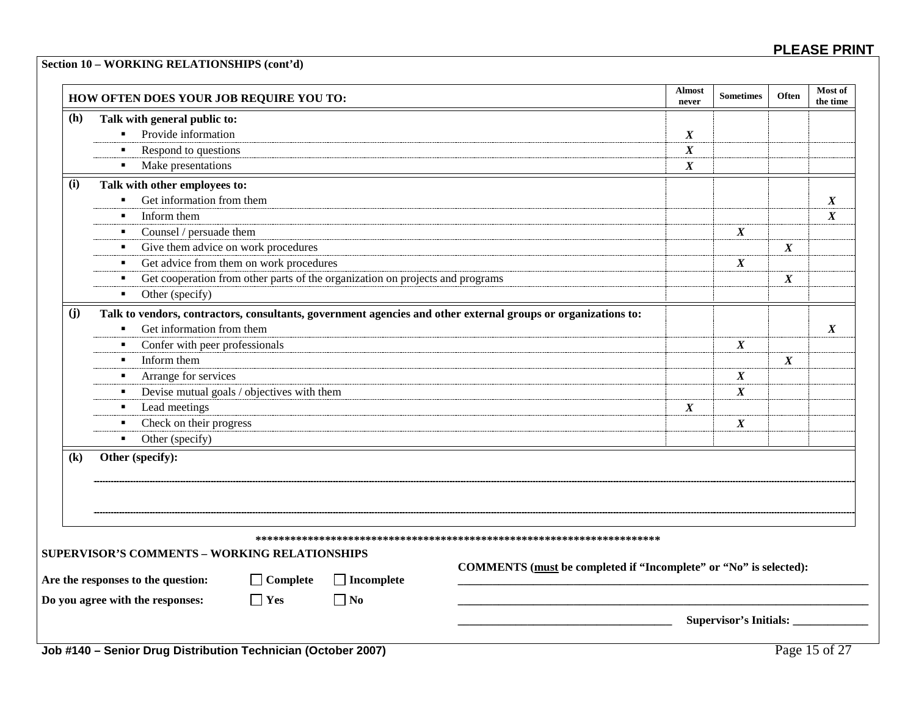### **Section 10 – WORKING RELATIONSHIPS (cont'd)**

|              | HOW OFTEN DOES YOUR JOB REQUIRE YOU TO:                                                                                     |                                                                   | <b>Almost</b><br>never | <b>Sometimes</b>             | Often            | Most of<br>the time |
|--------------|-----------------------------------------------------------------------------------------------------------------------------|-------------------------------------------------------------------|------------------------|------------------------------|------------------|---------------------|
| (h)          | Talk with general public to:                                                                                                |                                                                   |                        |                              |                  |                     |
|              | Provide information                                                                                                         |                                                                   | $\boldsymbol{X}$       |                              |                  |                     |
|              | Respond to questions<br>٠                                                                                                   |                                                                   | $\boldsymbol{X}$       |                              |                  |                     |
|              | Make presentations<br>$\blacksquare$                                                                                        |                                                                   | $\boldsymbol{X}$       |                              |                  |                     |
| (i)          | Talk with other employees to:                                                                                               |                                                                   |                        |                              |                  |                     |
|              | Get information from them<br>$\blacksquare$                                                                                 |                                                                   |                        |                              |                  | $\boldsymbol{X}$    |
|              | Inform them<br>$\blacksquare$                                                                                               |                                                                   |                        |                              |                  | $\boldsymbol{X}$    |
|              | Counsel / persuade them                                                                                                     |                                                                   |                        | $\boldsymbol{X}$             |                  |                     |
|              | Give them advice on work procedures                                                                                         |                                                                   |                        |                              | $\boldsymbol{X}$ |                     |
|              | Get advice from them on work procedures<br>٠                                                                                |                                                                   |                        | $\boldsymbol{X}$             |                  |                     |
|              | Get cooperation from other parts of the organization on projects and programs                                               |                                                                   |                        |                              | $\boldsymbol{X}$ |                     |
|              | Other (specify)<br>$\blacksquare$                                                                                           |                                                                   |                        |                              |                  |                     |
| (i)          | Talk to vendors, contractors, consultants, government agencies and other external groups or organizations to:               |                                                                   |                        |                              |                  |                     |
|              | Get information from them<br>$\blacksquare$                                                                                 |                                                                   |                        |                              |                  | $\boldsymbol{X}$    |
|              | Confer with peer professionals                                                                                              |                                                                   |                        | $\boldsymbol{X}$             |                  |                     |
|              | Inform them<br>٠                                                                                                            |                                                                   |                        |                              | $\boldsymbol{X}$ |                     |
|              | Arrange for services<br>٠                                                                                                   |                                                                   |                        | $\boldsymbol{X}$             |                  |                     |
|              | Devise mutual goals / objectives with them<br>٠                                                                             |                                                                   |                        | $\boldsymbol{X}$             |                  |                     |
|              | Lead meetings<br>٠                                                                                                          |                                                                   | $\boldsymbol{X}$       |                              |                  |                     |
|              | Check on their progress<br>٠                                                                                                |                                                                   |                        | $\boldsymbol{X}$             |                  |                     |
|              | Other (specify)<br>$\mathbf{m}$                                                                                             |                                                                   |                        |                              |                  |                     |
| $\mathbf{R}$ | Other (specify):                                                                                                            |                                                                   |                        |                              |                  |                     |
|              |                                                                                                                             |                                                                   |                        |                              |                  |                     |
|              |                                                                                                                             |                                                                   |                        |                              |                  |                     |
|              | SUPERVISOR'S COMMENTS - WORKING RELATIONSHIPS<br>$\Box$ Complete<br>Are the responses to the question:<br>$\Box$ Incomplete | COMMENTS (must be completed if "Incomplete" or "No" is selected): |                        |                              |                  |                     |
|              | $\Box$ Yes<br>Do you agree with the responses:<br>$\Box$ No                                                                 |                                                                   |                        |                              |                  |                     |
|              |                                                                                                                             |                                                                   |                        | Supervisor's Initials: _____ |                  |                     |
|              |                                                                                                                             |                                                                   |                        |                              |                  |                     |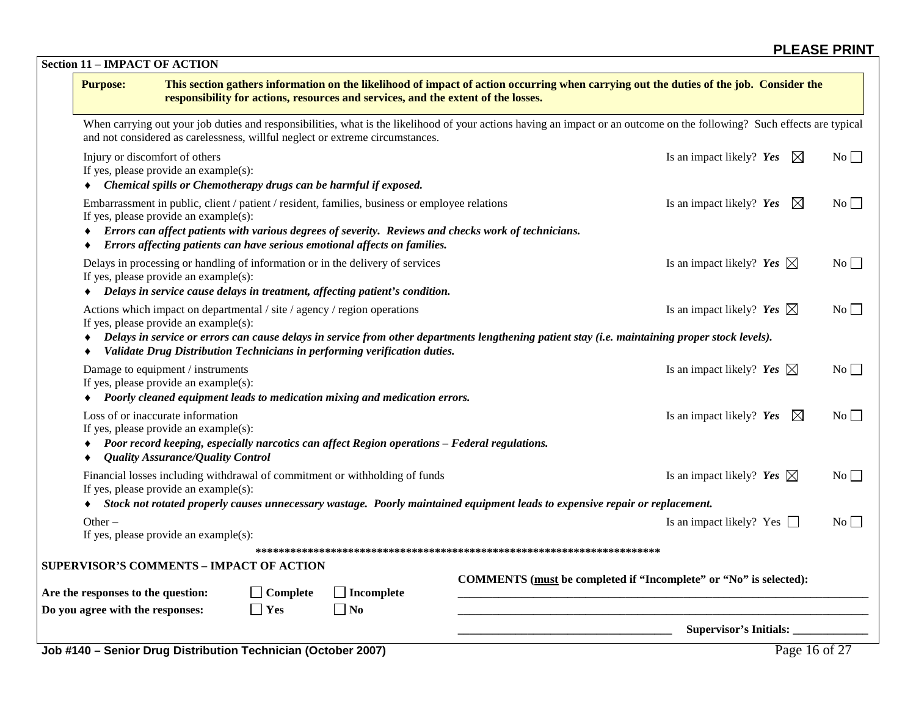**Section 11 – IMPACT OF ACTION**

| <b>Purpose:</b>                                                                                                                                                                                                         |                 | responsibility for actions, resources and services, and the extent of the losses. | This section gathers information on the likelihood of impact of action occurring when carrying out the duties of the job. Consider the                                                  |                  |
|-------------------------------------------------------------------------------------------------------------------------------------------------------------------------------------------------------------------------|-----------------|-----------------------------------------------------------------------------------|-----------------------------------------------------------------------------------------------------------------------------------------------------------------------------------------|------------------|
| and not considered as carelessness, willful neglect or extreme circumstances.                                                                                                                                           |                 |                                                                                   | When carrying out your job duties and responsibilities, what is the likelihood of your actions having an impact or an outcome on the following? Such effects are typical                |                  |
| Injury or discomfort of others<br>If yes, please provide an example(s):<br>Chemical spills or Chemotherapy drugs can be harmful if exposed.                                                                             |                 |                                                                                   | Is an impact likely? Yes<br>$\boxtimes$                                                                                                                                                 | $\rm{No}$        |
| Embarrassment in public, client / patient / resident, families, business or employee relations<br>If yes, please provide an example(s):<br>Errors affecting patients can have serious emotional affects on families.    |                 |                                                                                   | Is an impact likely? Yes<br>$\boxtimes$<br>Errors can affect patients with various degrees of severity. Reviews and checks work of technicians.                                         | $\overline{N_0}$ |
| Delays in processing or handling of information or in the delivery of services<br>If yes, please provide an example(s):<br>Delays in service cause delays in treatment, affecting patient's condition.                  |                 |                                                                                   | Is an impact likely? Yes $\boxtimes$                                                                                                                                                    | $No \Box$        |
| Actions which impact on departmental / site / agency / region operations<br>If yes, please provide an example(s):                                                                                                       |                 |                                                                                   | Is an impact likely? Yes $\boxtimes$<br>Delays in service or errors can cause delays in service from other departments lengthening patient stay (i.e. maintaining proper stock levels). | No               |
| Validate Drug Distribution Technicians in performing verification duties.                                                                                                                                               |                 |                                                                                   |                                                                                                                                                                                         |                  |
| Damage to equipment / instruments<br>If yes, please provide an example(s):<br>Poorly cleaned equipment leads to medication mixing and medication errors.                                                                |                 |                                                                                   | Is an impact likely? Yes $\boxtimes$                                                                                                                                                    | $No \Box$        |
| Loss of or inaccurate information<br>If yes, please provide an example(s):<br>Poor record keeping, especially narcotics can affect Region operations – Federal regulations.<br><b>Quality Assurance/Quality Control</b> |                 |                                                                                   | Is an impact likely? Yes<br>$\boxtimes$                                                                                                                                                 | $\rm{No}$        |
| Financial losses including withdrawal of commitment or withholding of funds<br>If yes, please provide an example(s):                                                                                                    |                 |                                                                                   | Is an impact likely? Yes $\boxtimes$                                                                                                                                                    | $\overline{N_0}$ |
|                                                                                                                                                                                                                         |                 |                                                                                   | Stock not rotated properly causes unnecessary wastage. Poorly maintained equipment leads to expensive repair or replacement.                                                            |                  |
| Other $-$<br>If yes, please provide an example(s):                                                                                                                                                                      |                 |                                                                                   | Is an impact likely? Yes $\Box$                                                                                                                                                         | No               |
|                                                                                                                                                                                                                         |                 |                                                                                   |                                                                                                                                                                                         |                  |
| <b>SUPERVISOR'S COMMENTS - IMPACT OF ACTION</b><br>Are the responses to the question:                                                                                                                                   | $\Box$ Complete | $\Box$ Incomplete                                                                 | COMMENTS (must be completed if "Incomplete" or "No" is selected):                                                                                                                       |                  |
| Do you agree with the responses:                                                                                                                                                                                        | $\Box$ Yes      | $\Box$ No                                                                         |                                                                                                                                                                                         |                  |
|                                                                                                                                                                                                                         |                 |                                                                                   | <b>Supervisor's Initials:</b>                                                                                                                                                           |                  |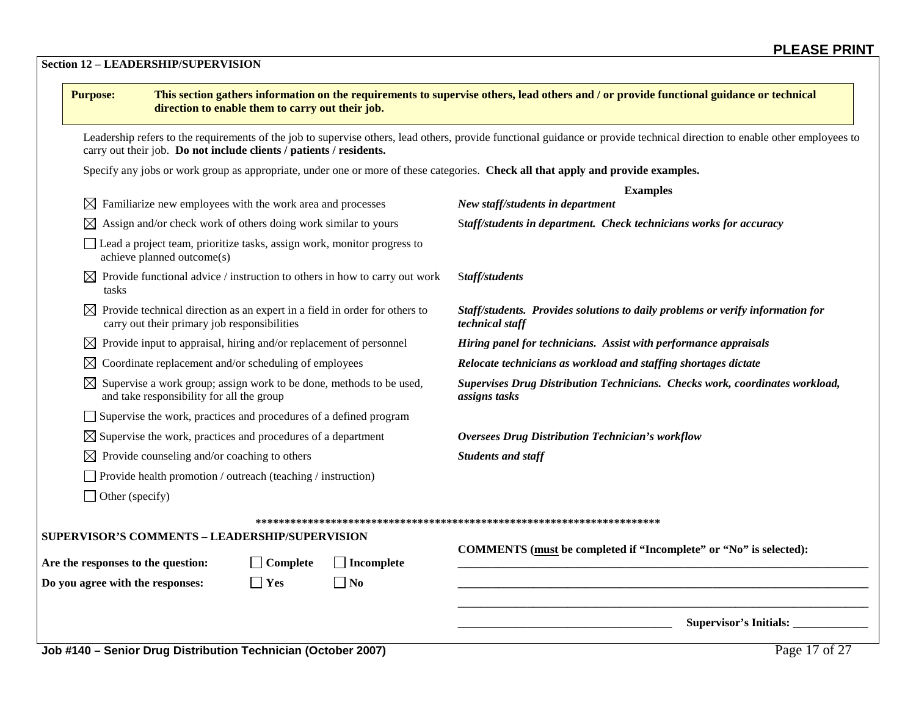#### **Section 12 – LEADERSHIP/SUPERVISION**

| <b>Purpose:</b>                                                                                                              | direction to enable them to carry out their job. |                   | This section gathers information on the requirements to supervise others, lead others and / or provide functional guidance or technical                                    |  |  |
|------------------------------------------------------------------------------------------------------------------------------|--------------------------------------------------|-------------------|----------------------------------------------------------------------------------------------------------------------------------------------------------------------------|--|--|
| carry out their job. Do not include clients / patients / residents.                                                          |                                                  |                   | Leadership refers to the requirements of the job to supervise others, lead others, provide functional guidance or provide technical direction to enable other employees to |  |  |
|                                                                                                                              |                                                  |                   | Specify any jobs or work group as appropriate, under one or more of these categories. Check all that apply and provide examples.                                           |  |  |
|                                                                                                                              |                                                  |                   | <b>Examples</b>                                                                                                                                                            |  |  |
| $\boxtimes$ Familiarize new employees with the work area and processes                                                       |                                                  |                   | New staff/students in department                                                                                                                                           |  |  |
| $\boxtimes$ Assign and/or check work of others doing work similar to yours                                                   |                                                  |                   | Staff/students in department. Check technicians works for accuracy                                                                                                         |  |  |
| Lead a project team, prioritize tasks, assign work, monitor progress to<br>achieve planned outcome(s)                        |                                                  |                   |                                                                                                                                                                            |  |  |
| $\boxtimes$ Provide functional advice / instruction to others in how to carry out work<br>tasks                              |                                                  |                   | Staff/students                                                                                                                                                             |  |  |
| Provide technical direction as an expert in a field in order for others to<br>carry out their primary job responsibilities   |                                                  |                   | Staff/students. Provides solutions to daily problems or verify information for<br>technical staff                                                                          |  |  |
| $\boxtimes$ Provide input to appraisal, hiring and/or replacement of personnel                                               |                                                  |                   | Hiring panel for technicians. Assist with performance appraisals                                                                                                           |  |  |
| Coordinate replacement and/or scheduling of employees                                                                        |                                                  |                   | Relocate technicians as workload and staffing shortages dictate                                                                                                            |  |  |
| $\boxtimes$ Supervise a work group; assign work to be done, methods to be used,<br>and take responsibility for all the group |                                                  |                   | Supervises Drug Distribution Technicians. Checks work, coordinates workload,<br>assigns tasks                                                                              |  |  |
| Supervise the work, practices and procedures of a defined program                                                            |                                                  |                   |                                                                                                                                                                            |  |  |
| $\boxtimes$ Supervise the work, practices and procedures of a department                                                     |                                                  |                   | <b>Oversees Drug Distribution Technician's workflow</b>                                                                                                                    |  |  |
| $\boxtimes$ Provide counseling and/or coaching to others                                                                     |                                                  |                   | <b>Students and staff</b>                                                                                                                                                  |  |  |
| Provide health promotion / outreach (teaching / instruction)                                                                 |                                                  |                   |                                                                                                                                                                            |  |  |
| $\Box$ Other (specify)                                                                                                       |                                                  |                   |                                                                                                                                                                            |  |  |
|                                                                                                                              |                                                  |                   |                                                                                                                                                                            |  |  |
| SUPERVISOR'S COMMENTS - LEADERSHIP/SUPERVISION                                                                               |                                                  |                   |                                                                                                                                                                            |  |  |
| Are the responses to the question:                                                                                           | $\Box$ Complete                                  | $\Box$ Incomplete | COMMENTS (must be completed if "Incomplete" or "No" is selected):                                                                                                          |  |  |
| Do you agree with the responses:                                                                                             | $\Box$ Yes                                       | $\Box$ No         |                                                                                                                                                                            |  |  |
|                                                                                                                              |                                                  |                   | Supervisor's Initials:                                                                                                                                                     |  |  |
| Job #140 - Senior Drug Distribution Technician (October 2007)                                                                |                                                  |                   | Page 17 of 27                                                                                                                                                              |  |  |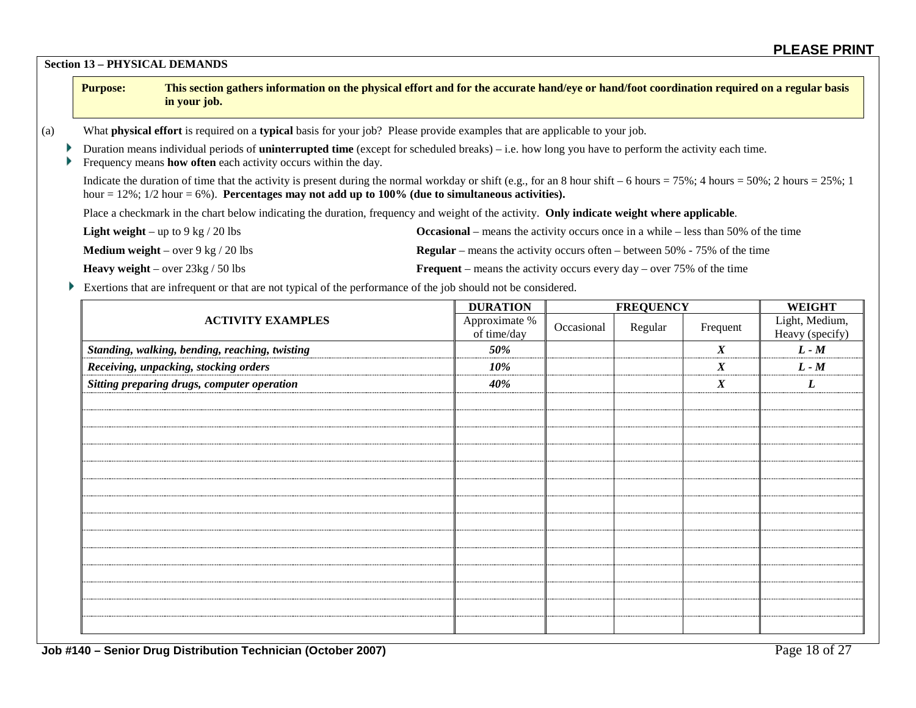**Section 13 – PHYSICAL DEMANDS**

|     | <b>Purpose:</b>                                                                                                                                                                                                                                                                     | in your job. | This section gathers information on the physical effort and for the accurate hand/eye or hand/foot coordination required on a regular basis |  |  |  |
|-----|-------------------------------------------------------------------------------------------------------------------------------------------------------------------------------------------------------------------------------------------------------------------------------------|--------------|---------------------------------------------------------------------------------------------------------------------------------------------|--|--|--|
| (a) | What physical effort is required on a typical basis for your job? Please provide examples that are applicable to your job.                                                                                                                                                          |              |                                                                                                                                             |  |  |  |
|     | Duration means individual periods of <b>uninterrupted time</b> (except for scheduled breaks) – i.e. how long you have to perform the activity each time.<br>Frequency means <b>how often</b> each activity occurs within the day.                                                   |              |                                                                                                                                             |  |  |  |
|     | Indicate the duration of time that the activity is present during the normal workday or shift (e.g., for an 8 hour shift – 6 hours = 75%; 4 hours = 50%; 2 hours = 25%; 1<br>hour = $12\%$ ; $1/2$ hour = 6%). Percentages may not add up to 100% (due to simultaneous activities). |              |                                                                                                                                             |  |  |  |
|     | Place a checkmark in the chart below indicating the duration, frequency and weight of the activity. Only indicate weight where applicable.                                                                                                                                          |              |                                                                                                                                             |  |  |  |
|     | <b>Occasional</b> – means the activity occurs once in a while – less than 50% of the time<br><b>Light weight</b> – up to 9 kg $/$ 20 lbs                                                                                                                                            |              |                                                                                                                                             |  |  |  |
|     | <b>Medium weight</b> – over 9 kg / 20 lbs<br><b>Regular</b> – means the activity occurs often – between 50% - 75% of the time                                                                                                                                                       |              |                                                                                                                                             |  |  |  |

**Heavy weight** – over 23kg / 50 lbs **Frequent** – means the activity occurs every day – over 75% of the time Exertions that are infrequent or that are not typical of the performance of the job should not be considered.

|                                                | <b>DURATION</b>              |            | <b>FREQUENCY</b> |                  | <b>WEIGHT</b>                     |
|------------------------------------------------|------------------------------|------------|------------------|------------------|-----------------------------------|
| <b>ACTIVITY EXAMPLES</b>                       | Approximate %<br>of time/day | Occasional | Regular          | Frequent         | Light, Medium,<br>Heavy (specify) |
| Standing, walking, bending, reaching, twisting | 50%                          |            |                  | $\boldsymbol{X}$ | $L - M$                           |
| Receiving, unpacking, stocking orders          | 10%                          |            |                  | $\boldsymbol{X}$ | $L - M$                           |
| Sitting preparing drugs, computer operation    | 40%                          |            |                  | $\boldsymbol{X}$ | L                                 |
|                                                |                              |            |                  |                  |                                   |
|                                                |                              |            |                  |                  |                                   |
|                                                |                              |            |                  |                  |                                   |
|                                                |                              |            |                  |                  |                                   |
|                                                |                              |            |                  |                  |                                   |
|                                                |                              |            |                  |                  |                                   |
|                                                |                              |            |                  |                  |                                   |
|                                                |                              |            |                  |                  |                                   |
|                                                |                              |            |                  |                  |                                   |
|                                                |                              |            |                  |                  |                                   |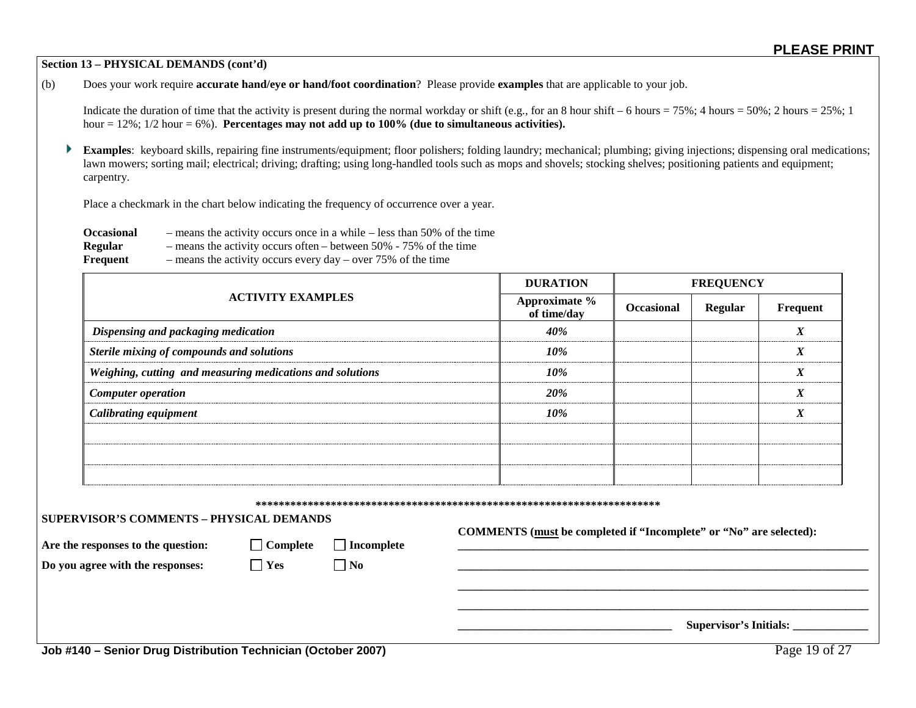#### **Section 13 – PHYSICAL DEMANDS (cont'd)**

(b) Does your work require **accurate hand/eye or hand/foot coordination**? Please provide **examples** that are applicable to your job.

Indicate the duration of time that the activity is present during the normal workday or shift (e.g., for an 8 hour shift – 6 hours = 75%; 4 hours = 50%; 2 hours = 25%; 1 hour = 12%; 1/2 hour = 6%). **Percentages may not add up to 100% (due to simultaneous activities).**

**Examples**: keyboard skills, repairing fine instruments/equipment; floor polishers; folding laundry; mechanical; plumbing; giving injections; dispensing oral medications; lawn mowers; sorting mail; electrical; driving; drafting; using long-handled tools such as mops and shovels; stocking shelves; positioning patients and equipment; carpentry.

Place a checkmark in the chart below indicating the frequency of occurrence over a year.

| <b>Occasional</b> | $-$ means the activity occurs once in a while $-$ less than 50% of the time |
|-------------------|-----------------------------------------------------------------------------|
| Regular           | - means the activity occurs often – between $50\%$ - 75% of the time        |
| Frequent          | $-$ means the activity occurs every day $-$ over 75% of the time            |

|                                                           | <b>DURATION</b>              |                   | <b>FREQUENCY</b> |                                       |  |  |
|-----------------------------------------------------------|------------------------------|-------------------|------------------|---------------------------------------|--|--|
| <b>ACTIVITY EXAMPLES</b>                                  | Approximate %<br>of time/day | <b>Occasional</b> | Regular          | Frequent                              |  |  |
| Dispensing and packaging medication                       | 40%                          |                   |                  | $\mathbf v$<br>$\boldsymbol{\Lambda}$ |  |  |
| Sterile mixing of compounds and solutions                 | 10%                          |                   |                  | $\mathbf v$<br>$\boldsymbol{\lambda}$ |  |  |
| Weighing, cutting and measuring medications and solutions | 10%                          |                   |                  | X                                     |  |  |
| <b>Computer operation</b>                                 | 20%                          |                   |                  | $\boldsymbol{X}$                      |  |  |
| <b>Calibrating equipment</b>                              | 10%                          |                   |                  | X                                     |  |  |
|                                                           |                              |                   |                  |                                       |  |  |
|                                                           |                              |                   |                  |                                       |  |  |
|                                                           |                              |                   |                  |                                       |  |  |

**\*\*\*\*\*\*\*\*\*\*\*\*\*\*\*\*\*\*\*\*\*\*\*\*\*\*\*\*\*\*\*\*\*\*\*\*\*\*\*\*\*\*\*\*\*\*\*\*\*\*\*\*\*\*\*\*\*\*\*\*\*\*\*\*\*\*\*\*\*\***

#### **SUPERVISOR'S COMMENTS – PHYSICAL DEMANDS**

Are the responses to the question:  $\Box$  Complete  $\Box$  Incomplete

**COMMENTS (must be completed if "Incomplete" or "No" are selected):**

**\_\_\_\_\_\_\_\_\_\_\_\_\_\_\_\_\_\_\_\_\_\_\_\_\_\_\_\_\_\_\_\_\_\_\_\_\_\_\_\_\_\_\_\_\_\_\_\_\_\_\_\_\_\_\_\_\_\_\_\_\_\_\_\_\_\_\_\_\_\_\_ \_\_\_\_\_\_\_\_\_\_\_\_\_\_\_\_\_\_\_\_\_\_\_\_\_\_\_\_\_\_\_\_\_\_\_\_\_\_\_\_\_\_\_\_\_\_\_\_\_\_\_\_\_\_\_\_\_\_\_\_\_\_\_\_\_\_\_\_\_\_\_**

**Do you agree with the responses:**  $\Box$  **Yes**  $\Box$  **No** 

 $\bf{Supervisor's\;Initials:}$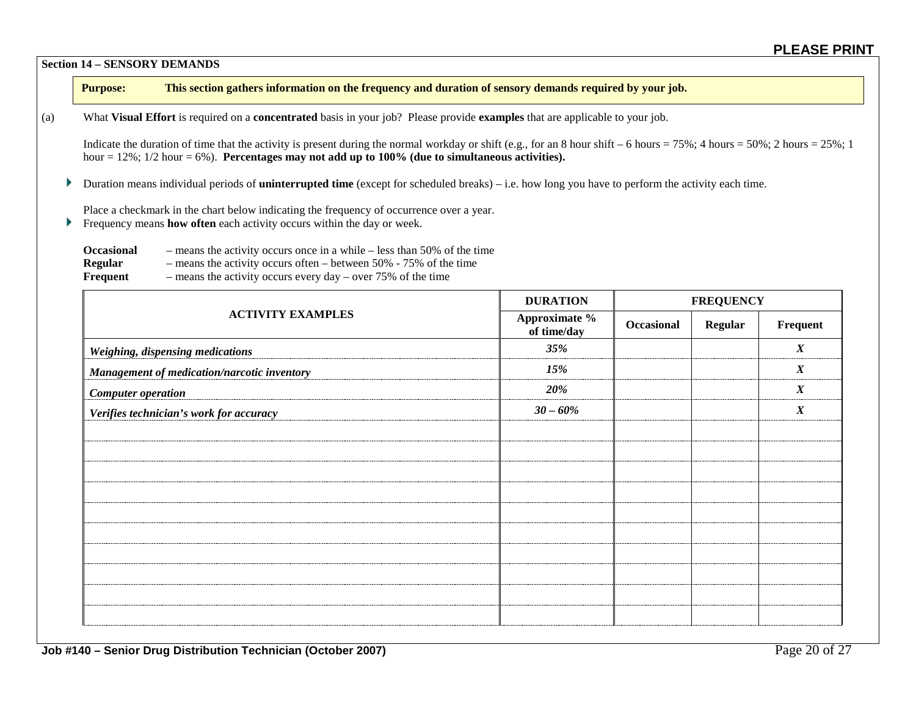**Section 14 – SENSORY DEMANDS**

**Purpose: This section gathers information on the frequency and duration of sensory demands required by your job.** 

(a) What **Visual Effort** is required on a **concentrated** basis in your job? Please provide **examples** that are applicable to your job.

Indicate the duration of time that the activity is present during the normal workday or shift (e.g., for an 8 hour shift – 6 hours = 75%; 4 hours = 50%; 2 hours = 25%; 1 hour  $= 12\%$ ;  $1/2$  hour  $= 6\%$ ). **Percentages may not add up to 100% (due to simultaneous activities).** 

Duration means individual periods of **uninterrupted time** (except for scheduled breaks) – i.e. how long you have to perform the activity each time. Þ.

Place a checkmark in the chart below indicating the frequency of occurrence over a year.

Frequency means **how often** each activity occurs within the day or week. Þ.

| <b>Occasional</b> | $-$ means the activity occurs once in a while $-$ less than 50% of the time |
|-------------------|-----------------------------------------------------------------------------|
| <b>Regular</b>    | - means the activity occurs often – between $50\%$ - 75% of the time        |
| Frequent          | $-$ means the activity occurs every day $-$ over 75% of the time            |

|                                             | <b>DURATION</b>              | <b>FREQUENCY</b> |                |                  |
|---------------------------------------------|------------------------------|------------------|----------------|------------------|
| <b>ACTIVITY EXAMPLES</b>                    | Approximate %<br>of time/day | Occasional       | <b>Regular</b> | Frequent         |
| <b>Weighing, dispensing medications</b>     | 35%                          |                  |                | $\boldsymbol{X}$ |
| Management of medication/narcotic inventory | 15%                          |                  |                | $\boldsymbol{X}$ |
| <b>Computer operation</b>                   | 20%                          |                  |                | $\boldsymbol{X}$ |
| Verifies technician's work for accuracy     | $30 - 60\%$                  |                  |                | $\boldsymbol{X}$ |
|                                             |                              |                  |                |                  |
|                                             |                              |                  |                |                  |
|                                             |                              |                  |                |                  |
|                                             |                              |                  |                |                  |
|                                             |                              |                  |                |                  |
|                                             |                              |                  |                |                  |
|                                             |                              |                  |                |                  |
|                                             |                              |                  |                |                  |
|                                             |                              |                  |                |                  |
|                                             |                              |                  |                |                  |
|                                             |                              |                  |                |                  |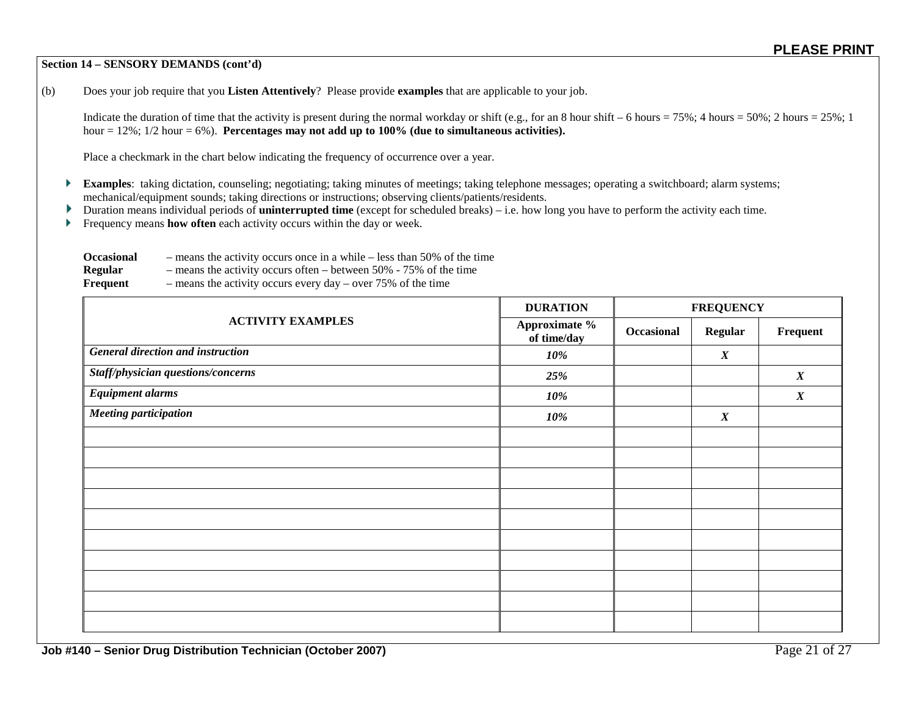#### **Section 14 – SENSORY DEMANDS (cont'd)**

(b) Does your job require that you **Listen Attentively**? Please provide **examples** that are applicable to your job.

Indicate the duration of time that the activity is present during the normal workday or shift (e.g., for an 8 hour shift – 6 hours = 75%; 4 hours = 50%; 2 hours = 25%; 1 hour = 12%; 1/2 hour = 6%). **Percentages may not add up to 100% (due to simultaneous activities).**

Place a checkmark in the chart below indicating the frequency of occurrence over a year.

- **Examples**: taking dictation, counseling; negotiating; taking minutes of meetings; taking telephone messages; operating a switchboard; alarm systems; mechanical/equipment sounds; taking directions or instructions; observing clients/patients/residents.
- Duration means individual periods of **uninterrupted time** (except for scheduled breaks) i.e. how long you have to perform the activity each time. Þ.
- Frequency means **how often** each activity occurs within the day or week. Þ

| <b>Occasional</b> | $-$ means the activity occurs once in a while $-$ less than 50% of the time |
|-------------------|-----------------------------------------------------------------------------|
| <b>Regular</b>    | - means the activity occurs often – between $50\%$ - 75% of the time        |
| Frequent          | - means the activity occurs every day – over $75\%$ of the time             |

|                                    | <b>DURATION</b>              | <b>FREQUENCY</b> |                  |                  |
|------------------------------------|------------------------------|------------------|------------------|------------------|
| <b>ACTIVITY EXAMPLES</b>           | Approximate %<br>of time/day | Occasional       | <b>Regular</b>   | Frequent         |
| General direction and instruction  | 10%                          |                  | $\boldsymbol{X}$ |                  |
| Staff/physician questions/concerns | 25%                          |                  |                  | $\boldsymbol{X}$ |
| <b>Equipment alarms</b>            | 10%                          |                  |                  | $\boldsymbol{X}$ |
| <b>Meeting participation</b>       | 10%                          |                  | $\boldsymbol{X}$ |                  |
|                                    |                              |                  |                  |                  |
|                                    |                              |                  |                  |                  |
|                                    |                              |                  |                  |                  |
|                                    |                              |                  |                  |                  |
|                                    |                              |                  |                  |                  |
|                                    |                              |                  |                  |                  |
|                                    |                              |                  |                  |                  |
|                                    |                              |                  |                  |                  |
|                                    |                              |                  |                  |                  |
|                                    |                              |                  |                  |                  |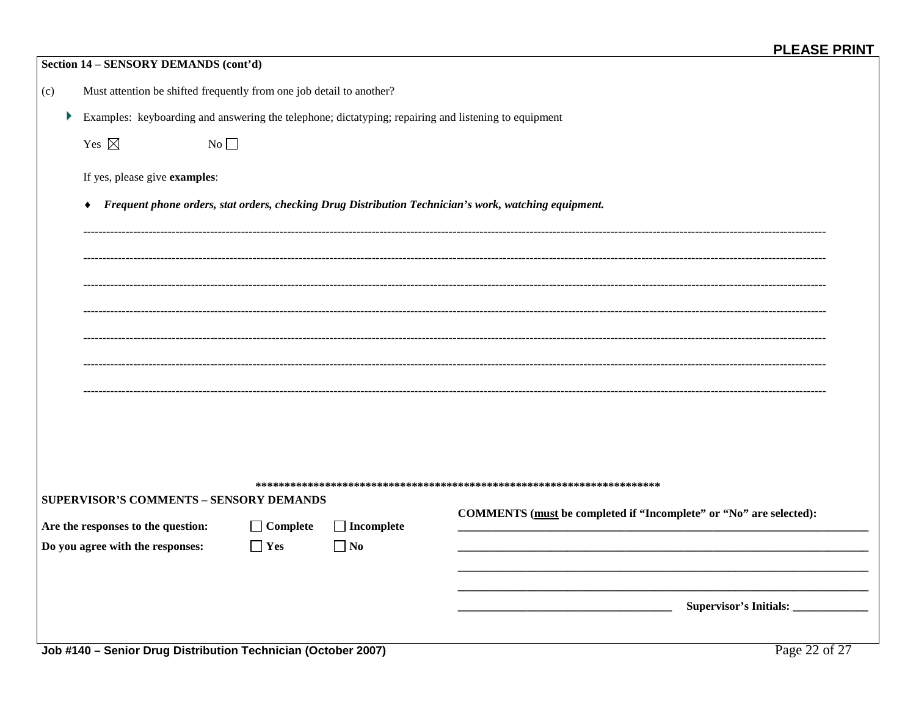|     | Section 14 - SENSORY DEMANDS (cont'd)                                                                |                 |                   |                                                                                                       |  |  |
|-----|------------------------------------------------------------------------------------------------------|-----------------|-------------------|-------------------------------------------------------------------------------------------------------|--|--|
| (c) | Must attention be shifted frequently from one job detail to another?                                 |                 |                   |                                                                                                       |  |  |
| Þ.  | Examples: keyboarding and answering the telephone; dictatyping; repairing and listening to equipment |                 |                   |                                                                                                       |  |  |
|     | Yes $\boxtimes$<br>No                                                                                |                 |                   |                                                                                                       |  |  |
|     | If yes, please give examples:                                                                        |                 |                   |                                                                                                       |  |  |
|     |                                                                                                      |                 |                   | Frequent phone orders, stat orders, checking Drug Distribution Technician's work, watching equipment. |  |  |
|     |                                                                                                      |                 |                   |                                                                                                       |  |  |
|     |                                                                                                      |                 |                   |                                                                                                       |  |  |
|     |                                                                                                      |                 |                   |                                                                                                       |  |  |
|     |                                                                                                      |                 |                   |                                                                                                       |  |  |
|     |                                                                                                      |                 |                   |                                                                                                       |  |  |
|     |                                                                                                      |                 |                   |                                                                                                       |  |  |
|     |                                                                                                      |                 |                   |                                                                                                       |  |  |
|     |                                                                                                      |                 |                   |                                                                                                       |  |  |
|     | <b>SUPERVISOR'S COMMENTS - SENSORY DEMANDS</b>                                                       |                 |                   |                                                                                                       |  |  |
|     | Are the responses to the question:                                                                   | $\Box$ Complete | $\Box$ Incomplete | COMMENTS (must be completed if "Incomplete" or "No" are selected):                                    |  |  |
|     | Do you agree with the responses:                                                                     | $\Box$ Yes      | $\Box$ No         |                                                                                                       |  |  |
|     |                                                                                                      |                 |                   |                                                                                                       |  |  |
|     |                                                                                                      |                 |                   | Supervisor's Initials:                                                                                |  |  |
|     | Job #140 - Senior Drug Distribution Technician (October 2007)                                        |                 |                   | Page 22 of 27                                                                                         |  |  |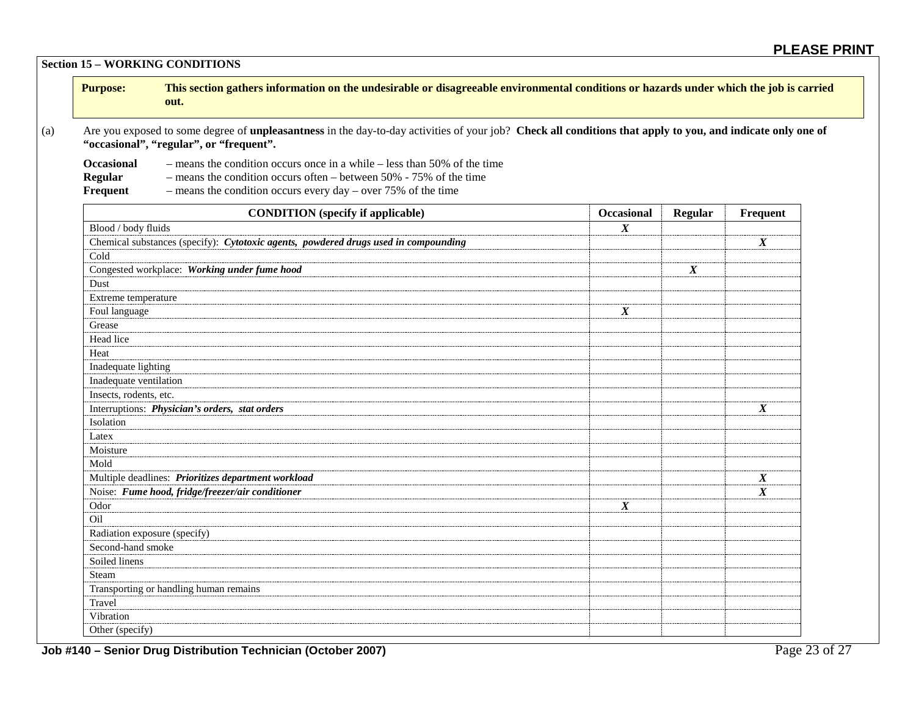**Section 15 – WORKING CONDITIONS**

| <b>Purpose:</b> | This section gathers information on the undesirable or disagreeable environmental conditions or hazards under which the job is carried |
|-----------------|----------------------------------------------------------------------------------------------------------------------------------------|
|                 | out.                                                                                                                                   |

(a) Are you exposed to some degree of **unpleasantness** in the day-to-day activities of your job? **Check all conditions that apply to you, and indicate only one of "occasional", "regular", or "frequent".**

**Occasional** – means the condition occurs once in a while – less than 50% of the time<br>Regular – means the condition occurs often – between 50% - 75% of the time **Regular** – means the condition occurs often – between 50% - 75% of the time<br>**Frequent** – means the condition occurs every day – over 75% of the time – means the condition occurs every day – over 75% of the time

| <b>CONDITION</b> (specify if applicable)                                            | <b>Occasional</b> | <b>Regular</b>   | Frequent         |
|-------------------------------------------------------------------------------------|-------------------|------------------|------------------|
| Blood / body fluids                                                                 | $\boldsymbol{X}$  |                  |                  |
| Chemical substances (specify): Cytotoxic agents, powdered drugs used in compounding |                   |                  | $\boldsymbol{X}$ |
| Cold                                                                                |                   |                  |                  |
| Congested workplace: Working under fume hood                                        |                   | $\boldsymbol{X}$ |                  |
| Dust                                                                                |                   |                  |                  |
| Extreme temperature                                                                 |                   |                  |                  |
| Foul language                                                                       | $\boldsymbol{X}$  |                  |                  |
| Grease                                                                              |                   |                  |                  |
| Head lice                                                                           |                   |                  |                  |
| Heat                                                                                |                   |                  |                  |
| Inadequate lighting                                                                 |                   |                  |                  |
| Inadequate ventilation                                                              |                   |                  |                  |
| Insects, rodents, etc.                                                              |                   |                  |                  |
| Interruptions: Physician's orders, stat orders                                      |                   |                  | $\boldsymbol{X}$ |
| Isolation                                                                           |                   |                  |                  |
| Latex                                                                               |                   |                  |                  |
| Moisture                                                                            |                   |                  |                  |
| Mold                                                                                |                   |                  |                  |
| Multiple deadlines: Prioritizes department workload                                 |                   |                  | $\boldsymbol{X}$ |
| Noise: Fume hood, fridge/freezer/air conditioner                                    |                   |                  | $\boldsymbol{X}$ |
| Odor                                                                                | $\boldsymbol{X}$  |                  |                  |
| Oil                                                                                 |                   |                  |                  |
| Radiation exposure (specify)                                                        |                   |                  |                  |
| Second-hand smoke                                                                   |                   |                  |                  |
| Soiled linens                                                                       |                   |                  |                  |
| Steam                                                                               |                   |                  |                  |
| Transporting or handling human remains                                              |                   |                  |                  |
| Travel                                                                              |                   |                  |                  |
| Vibration                                                                           |                   |                  |                  |
| Other (specify)                                                                     |                   |                  |                  |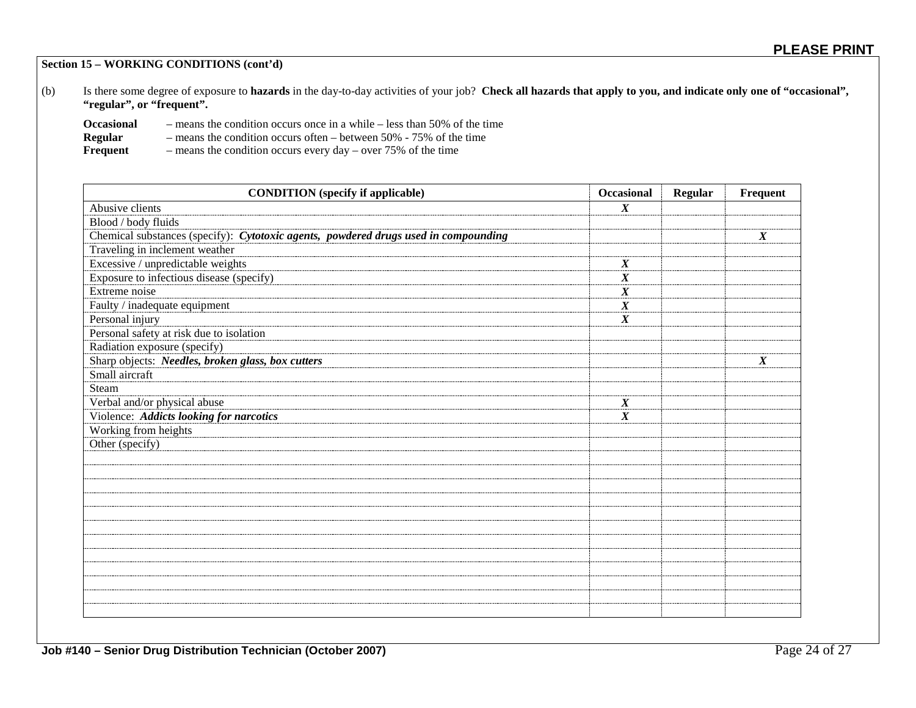**Section 15 – WORKING CONDITIONS (cont'd)**

(b) Is there some degree of exposure to **hazards** in the day-to-day activities of your job? **Check all hazards that apply to you, and indicate only one of "occasional", "regular", or "frequent".**

| <b>Occasional</b> | - means the condition occurs once in a while $-$ less than 50% of the time |
|-------------------|----------------------------------------------------------------------------|
| <b>Regular</b>    | - means the condition occurs often – between $50\%$ - 75% of the time      |
| Frequent          | $-$ means the condition occurs every day $-$ over 75% of the time          |

**CONDITION** (specify if applicable) **CONDITION CONDITION Example 1 CONDITION Example 1 CONDITION Example 2 CONDITION EXAMPLE 2 CONDITION EXAMPLE 2 CONDITION EXAMPLE 2 CONDITION EXAMPLE 2 CONDI** Abusive clients *X* Blood / body fluids Chemical substances (specify): *Cytotoxic agents, powdered drugs used in compounding X* Traveling in inclement weather Excessive / unpredictable weights *X* Exposure to infectious disease (specify) **X** X Extreme noise *X* Faulty / inadequate equipment *X* Personal injury *X* Personal safety at risk due to isolation Radiation exposure (specify) Sharp objects: *Needles, broken glass, box cutters X* Small aircraft Steam Verbal and/or physical abuse *X* Violence: *Addicts looking for narcotics X* Working from heights Other (specify)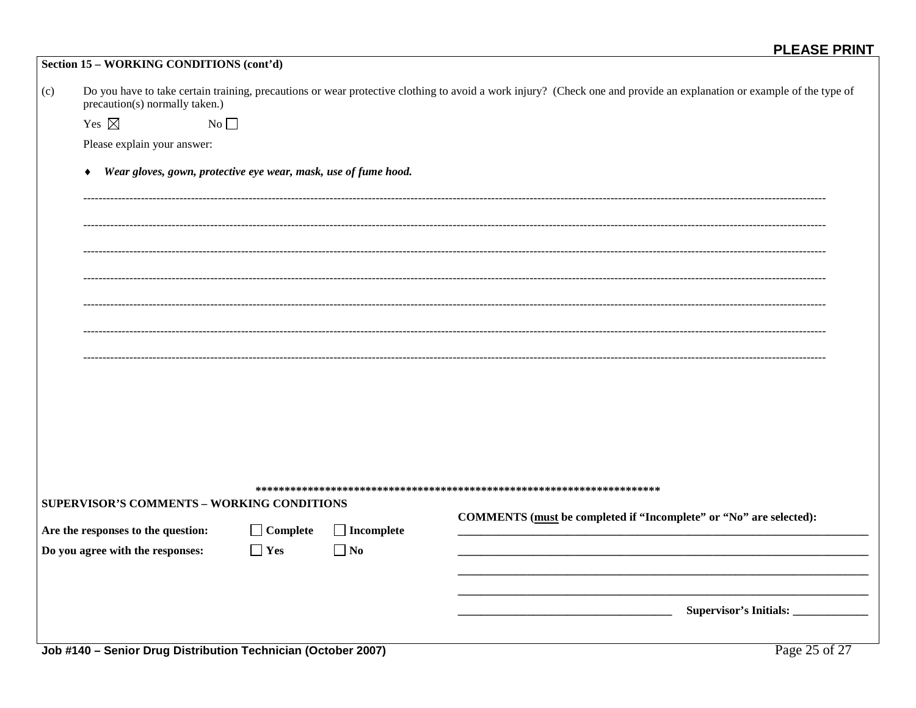|     | Section 15 – WORKING CONDITIONS (cont'd) |                                                                 |                   |                                                                                                                                                                       |
|-----|------------------------------------------|-----------------------------------------------------------------|-------------------|-----------------------------------------------------------------------------------------------------------------------------------------------------------------------|
| (c) | precaution(s) normally taken.)           |                                                                 |                   | Do you have to take certain training, precautions or wear protective clothing to avoid a work injury? (Check one and provide an explanation or example of the type of |
|     | Yes $\boxtimes$                          | $No \Box$                                                       |                   |                                                                                                                                                                       |
|     | Please explain your answer:              |                                                                 |                   |                                                                                                                                                                       |
|     | $\blacklozenge$                          | Wear gloves, gown, protective eye wear, mask, use of fume hood. |                   |                                                                                                                                                                       |
|     |                                          |                                                                 |                   |                                                                                                                                                                       |
|     |                                          |                                                                 |                   |                                                                                                                                                                       |
|     |                                          |                                                                 |                   |                                                                                                                                                                       |
|     |                                          |                                                                 |                   |                                                                                                                                                                       |
|     |                                          |                                                                 |                   |                                                                                                                                                                       |
|     |                                          |                                                                 |                   |                                                                                                                                                                       |
|     |                                          |                                                                 |                   |                                                                                                                                                                       |
|     |                                          |                                                                 |                   |                                                                                                                                                                       |
|     |                                          |                                                                 |                   |                                                                                                                                                                       |
|     |                                          |                                                                 |                   |                                                                                                                                                                       |
|     |                                          | SUPERVISOR'S COMMENTS - WORKING CONDITIONS                      |                   |                                                                                                                                                                       |
|     | Are the responses to the question:       | $\Box$ Complete                                                 | $\Box$ Incomplete | COMMENTS (must be completed if "Incomplete" or "No" are selected):                                                                                                    |
|     | Do you agree with the responses:         | $\Box$ Yes                                                      | $\Box$ No         |                                                                                                                                                                       |
|     |                                          |                                                                 |                   |                                                                                                                                                                       |
|     |                                          |                                                                 |                   |                                                                                                                                                                       |
|     |                                          |                                                                 |                   |                                                                                                                                                                       |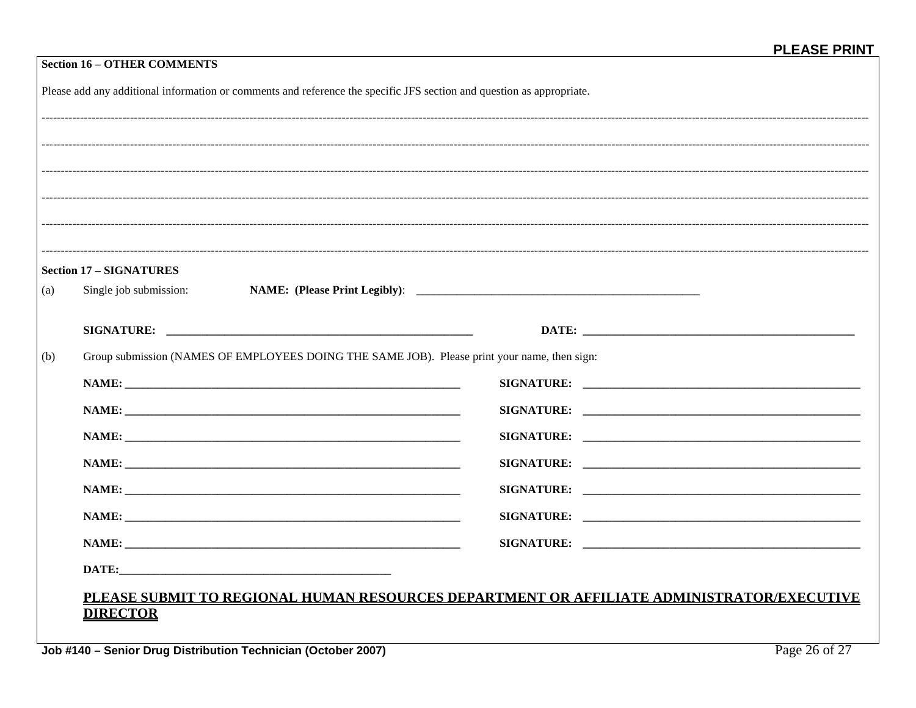| <b>Section 16 - OTHER COMMENTS</b>                                                                                    |                                                                                              |  |  |  |  |  |
|-----------------------------------------------------------------------------------------------------------------------|----------------------------------------------------------------------------------------------|--|--|--|--|--|
| Please add any additional information or comments and reference the specific JFS section and question as appropriate. |                                                                                              |  |  |  |  |  |
|                                                                                                                       |                                                                                              |  |  |  |  |  |
|                                                                                                                       |                                                                                              |  |  |  |  |  |
|                                                                                                                       |                                                                                              |  |  |  |  |  |
|                                                                                                                       |                                                                                              |  |  |  |  |  |
|                                                                                                                       |                                                                                              |  |  |  |  |  |
|                                                                                                                       |                                                                                              |  |  |  |  |  |
| <b>Section 17 – SIGNATURES</b>                                                                                        |                                                                                              |  |  |  |  |  |
| Single job submission:                                                                                                |                                                                                              |  |  |  |  |  |
|                                                                                                                       |                                                                                              |  |  |  |  |  |
|                                                                                                                       |                                                                                              |  |  |  |  |  |
|                                                                                                                       | Group submission (NAMES OF EMPLOYEES DOING THE SAME JOB). Please print your name, then sign: |  |  |  |  |  |
|                                                                                                                       |                                                                                              |  |  |  |  |  |
| NAME:                                                                                                                 |                                                                                              |  |  |  |  |  |
|                                                                                                                       |                                                                                              |  |  |  |  |  |
|                                                                                                                       |                                                                                              |  |  |  |  |  |
|                                                                                                                       |                                                                                              |  |  |  |  |  |
| NAME:                                                                                                                 |                                                                                              |  |  |  |  |  |
|                                                                                                                       |                                                                                              |  |  |  |  |  |
|                                                                                                                       |                                                                                              |  |  |  |  |  |
|                                                                                                                       |                                                                                              |  |  |  |  |  |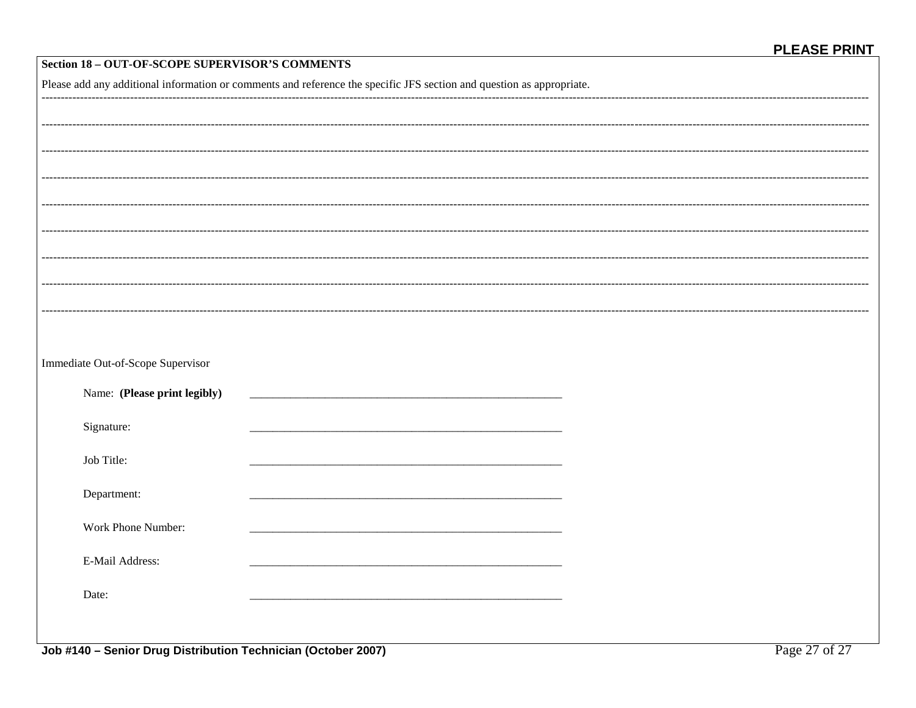| Section 18 - OUT-OF-SCOPE SUPERVISOR'S COMMENTS                                                                       |  |                    |  |  |  |
|-----------------------------------------------------------------------------------------------------------------------|--|--------------------|--|--|--|
| Please add any additional information or comments and reference the specific JFS section and question as appropriate. |  |                    |  |  |  |
|                                                                                                                       |  |                    |  |  |  |
|                                                                                                                       |  |                    |  |  |  |
|                                                                                                                       |  |                    |  |  |  |
|                                                                                                                       |  |                    |  |  |  |
|                                                                                                                       |  |                    |  |  |  |
|                                                                                                                       |  |                    |  |  |  |
|                                                                                                                       |  |                    |  |  |  |
|                                                                                                                       |  |                    |  |  |  |
|                                                                                                                       |  |                    |  |  |  |
|                                                                                                                       |  |                    |  |  |  |
|                                                                                                                       |  |                    |  |  |  |
|                                                                                                                       |  |                    |  |  |  |
|                                                                                                                       |  |                    |  |  |  |
| Immediate Out-of-Scope Supervisor                                                                                     |  |                    |  |  |  |
| Name: (Please print legibly)                                                                                          |  |                    |  |  |  |
|                                                                                                                       |  |                    |  |  |  |
| Signature:                                                                                                            |  |                    |  |  |  |
|                                                                                                                       |  |                    |  |  |  |
| Job Title:                                                                                                            |  |                    |  |  |  |
| Department:                                                                                                           |  |                    |  |  |  |
|                                                                                                                       |  |                    |  |  |  |
| Work Phone Number:                                                                                                    |  |                    |  |  |  |
|                                                                                                                       |  |                    |  |  |  |
| E-Mail Address:                                                                                                       |  |                    |  |  |  |
| Date:                                                                                                                 |  |                    |  |  |  |
|                                                                                                                       |  |                    |  |  |  |
|                                                                                                                       |  |                    |  |  |  |
| Job #140 Sonior Drug Distribution Tochnician (October 2007)                                                           |  | $D_{209}$ 27 of 27 |  |  |  |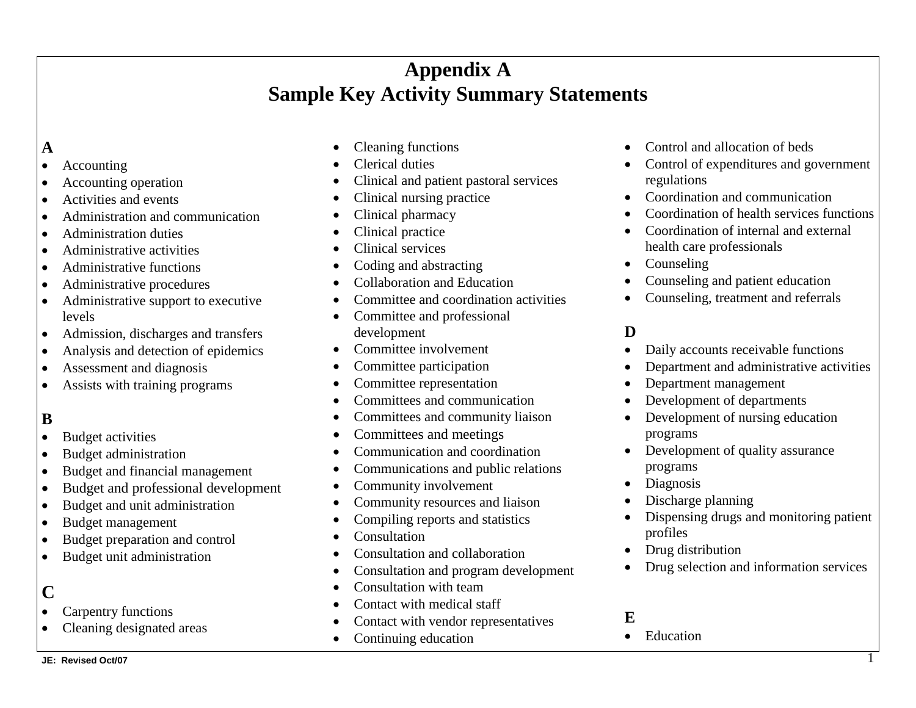## **Appendix A Sample Key Activity Summary Statements**

### **A**

- Accounting
- Accounting operation
- Activities and events
- Administration and communication
- Administration duties
- Administrative activities
- Administrative functions
- Administrative procedures
- Administrative support to executive levels
- Admission, discharges and transfers
- Analysis and detection of epidemics
- Assessment and diagnosis
- Assists with training programs

### **B**

- Budget activities
- Budget administration
- Budget and financial management
- Budget and professional development
- Budget and unit administration
- Budget management
- Budget preparation and control
- Budget unit administration

### **C**

- Carpentry functions
- Cleaning designated areas
- Cleaning functions
- Clerical duties
- Clinical and patient pastoral services
- Clinical nursing practice
- Clinical pharmacy
- Clinical practice
- Clinical services
- Coding and abstracting
- Collaboration and Education
- Committee and coordination activities
- Committee and professional development
- Committee involvement
- Committee participation
- Committee representation
- Committees and communication
- Committees and community liaison
- Committees and meetings
- Communication and coordination
- Communications and public relations
- Community involvement
- Community resources and liaison
- Compiling reports and statistics
- Consultation
- Consultation and collaboration
- Consultation and program development
- Consultation with team
- Contact with medical staff
- Contact with vendor representatives
- Continuing education
- Control and allocation of beds
- Control of expenditures and government regulations
- Coordination and communication
- Coordination of health services functions
- Coordination of internal and external health care professionals
- Counseling
- Counseling and patient education
- Counseling, treatment and referrals

### **D**

- Daily accounts receivable functions
- Department and administrative activities
- Department management
- Development of departments
- Development of nursing education programs
- Development of quality assurance programs
- Diagnosis
- Discharge planning
- Dispensing drugs and monitoring patient profiles
- Drug distribution
- Drug selection and information services

### **E**

• Education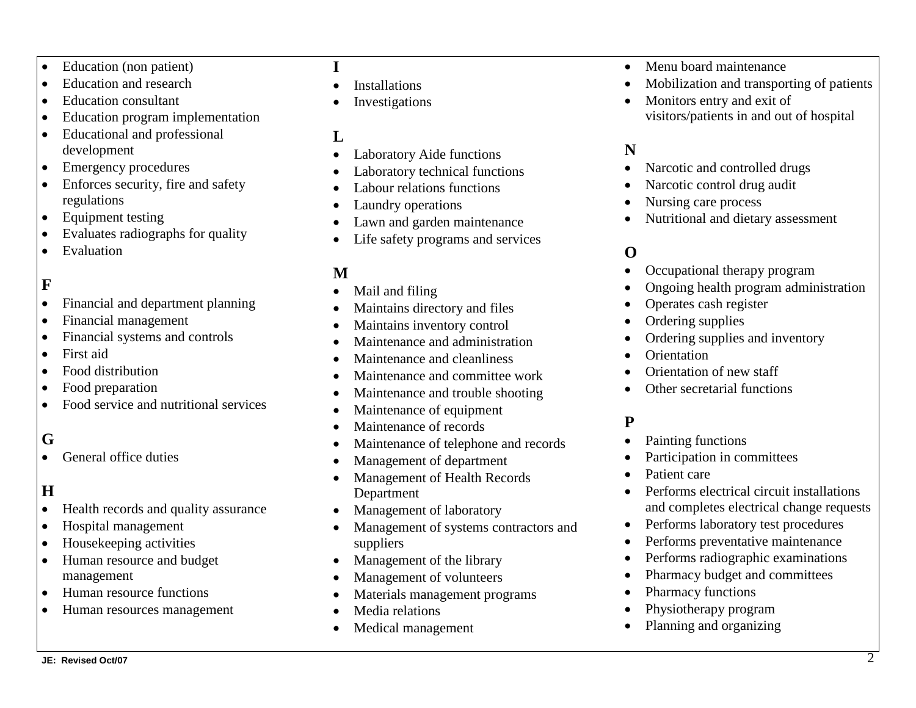- Education (non patient)
- Education and research
- Education consultant
- Education program implementation
- Educational and professional development
- Emergency procedures
- Enforces security, fire and safety regulations
- Equipment testing
- Evaluates radiographs for quality
- Evaluation

## **F**

- Financial and department planning
- Financial management
- Financial systems and controls
- First aid
- Food distribution
- Food preparation
- Food service and nutritional services

### **G**

• General office duties

### **H**

- Health records and quality assurance
- Hospital management
- Housekeeping activities
- Human resource and budget management
- Human resource functions
- Human resources management

### **I**

- **Installations**
- **Investigations**

### **L**

- Laboratory Aide functions
- Laboratory technical functions
- Labour relations functions
- Laundry operations
- Lawn and garden maintenance
- Life safety programs and services

### **M**

- Mail and filing
- Maintains directory and files
- Maintains inventory control
- Maintenance and administration
- Maintenance and cleanliness
- Maintenance and committee work
- Maintenance and trouble shooting
- Maintenance of equipment
- Maintenance of records
- Maintenance of telephone and records
- Management of department
- Management of Health Records Department
- Management of laboratory
- Management of systems contractors and suppliers
- Management of the library
- Management of volunteers
- Materials management programs
- Media relations
- Medical management
- Menu board maintenance
- Mobilization and transporting of patients
- Monitors entry and exit of visitors/patients in and out of hospital

### **N**

- Narcotic and controlled drugs
- Narcotic control drug audit
- Nursing care process
- Nutritional and dietary assessment

### **O**

- Occupational therapy program
- Ongoing health program administration
- Operates cash register
- Ordering supplies
- Ordering supplies and inventory
- Orientation
- Orientation of new staff
- Other secretarial functions

### **P**

- Painting functions
- Participation in committees
- Patient care
- Performs electrical circuit installations and completes electrical change requests
- Performs laboratory test procedures
- Performs preventative maintenance
- Performs radiographic examinations
- Pharmacy budget and committees
- Pharmacy functions
- Physiotherapy program
- Planning and organizing